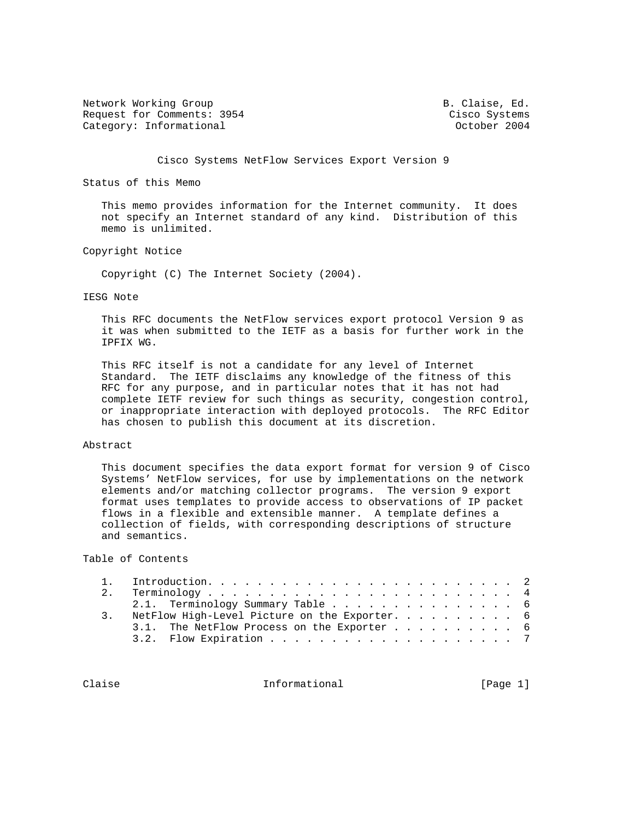Network Working Group and B. Claise, Ed. Request for Comments: 3954 Cisco Systems Category: Informational and Category: Category: Informational and Category: Category: Category: Category: Category: Category: Category: Category: Category: Category: Category: Category: Category: Category: Category: Catego

Cisco Systems NetFlow Services Export Version 9

Status of this Memo

 This memo provides information for the Internet community. It does not specify an Internet standard of any kind. Distribution of this memo is unlimited.

# Copyright Notice

Copyright (C) The Internet Society (2004).

### IESG Note

 This RFC documents the NetFlow services export protocol Version 9 as it was when submitted to the IETF as a basis for further work in the IPFIX WG.

 This RFC itself is not a candidate for any level of Internet Standard. The IETF disclaims any knowledge of the fitness of this RFC for any purpose, and in particular notes that it has not had complete IETF review for such things as security, congestion control, or inappropriate interaction with deployed protocols. The RFC Editor has chosen to publish this document at its discretion.

# Abstract

 This document specifies the data export format for version 9 of Cisco Systems' NetFlow services, for use by implementations on the network elements and/or matching collector programs. The version 9 export format uses templates to provide access to observations of IP packet flows in a flexible and extensible manner. A template defines a collection of fields, with corresponding descriptions of structure and semantics.

# Table of Contents

| 2. |  |  |  |  |  |  |  |  |  |  |  |  |                                                                                                                                 |
|----|--|--|--|--|--|--|--|--|--|--|--|--|---------------------------------------------------------------------------------------------------------------------------------|
|    |  |  |  |  |  |  |  |  |  |  |  |  |                                                                                                                                 |
|    |  |  |  |  |  |  |  |  |  |  |  |  |                                                                                                                                 |
|    |  |  |  |  |  |  |  |  |  |  |  |  |                                                                                                                                 |
|    |  |  |  |  |  |  |  |  |  |  |  |  |                                                                                                                                 |
|    |  |  |  |  |  |  |  |  |  |  |  |  | 2.1. Terminology Summary Table 6<br>NetFlow High-Level Picture on the Exporter. 6<br>3.1. The NetFlow Process on the Exporter 6 |

Claise **Informational** Informational [Page 1]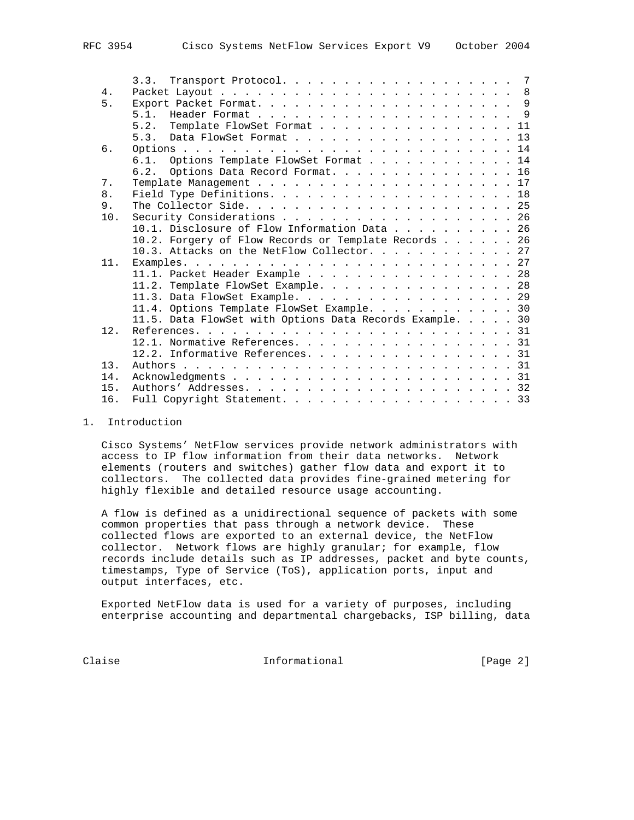|     | Transport Protocol. 7<br>3.3.                            |
|-----|----------------------------------------------------------|
| 4.  |                                                          |
| 5.  |                                                          |
|     | 5.1.                                                     |
|     | 5.2.<br>Template FlowSet Format 11                       |
|     | 5.3.<br>Data FlowSet Format 13                           |
| 6.  |                                                          |
|     | Options Template FlowSet Format 14<br>6.1.               |
|     | 6.2. Options Data Record Format. 16                      |
| 7.  |                                                          |
| 8.  |                                                          |
| 9.  |                                                          |
| 10. | Security Considerations 26                               |
|     | 10.1. Disclosure of Flow Information Data 26             |
|     | 10.2. Forgery of Flow Records or Template Records 26     |
|     | 10.3. Attacks on the NetFlow Collector. 27               |
| 11. |                                                          |
|     | 11.1. Packet Header Example 28                           |
|     | 11.2. Template FlowSet Example. 28                       |
|     | 11.3. Data FlowSet Example. 29                           |
|     | 11.4. Options Template FlowSet Example. 30               |
|     | 11.5. Data FlowSet with Options Data Records Example. 30 |
| 12. |                                                          |
|     | 12.1. Normative References. 31                           |
|     | 12.2. Informative References. 31                         |
| 13. |                                                          |
| 14. |                                                          |
| 15. |                                                          |
| 16. | Full Copyright Statement. 33                             |

# 1. Introduction

 Cisco Systems' NetFlow services provide network administrators with access to IP flow information from their data networks. Network elements (routers and switches) gather flow data and export it to collectors. The collected data provides fine-grained metering for highly flexible and detailed resource usage accounting.

 A flow is defined as a unidirectional sequence of packets with some common properties that pass through a network device. These collected flows are exported to an external device, the NetFlow collector. Network flows are highly granular; for example, flow records include details such as IP addresses, packet and byte counts, timestamps, Type of Service (ToS), application ports, input and output interfaces, etc.

 Exported NetFlow data is used for a variety of purposes, including enterprise accounting and departmental chargebacks, ISP billing, data

Claise **Informational** [Page 2]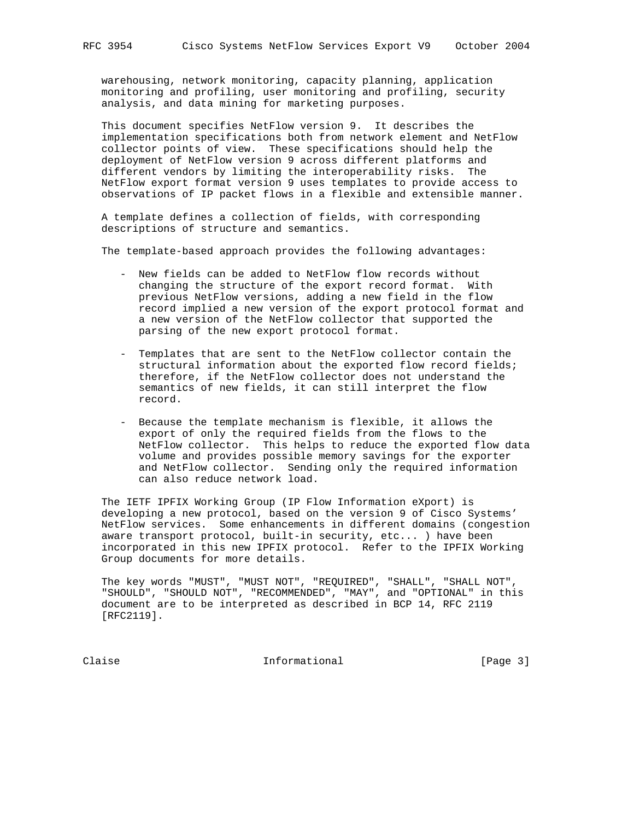warehousing, network monitoring, capacity planning, application monitoring and profiling, user monitoring and profiling, security analysis, and data mining for marketing purposes.

 This document specifies NetFlow version 9. It describes the implementation specifications both from network element and NetFlow collector points of view. These specifications should help the deployment of NetFlow version 9 across different platforms and different vendors by limiting the interoperability risks. The NetFlow export format version 9 uses templates to provide access to observations of IP packet flows in a flexible and extensible manner.

 A template defines a collection of fields, with corresponding descriptions of structure and semantics.

The template-based approach provides the following advantages:

- New fields can be added to NetFlow flow records without changing the structure of the export record format. With previous NetFlow versions, adding a new field in the flow record implied a new version of the export protocol format and a new version of the NetFlow collector that supported the parsing of the new export protocol format.
- Templates that are sent to the NetFlow collector contain the structural information about the exported flow record fields; therefore, if the NetFlow collector does not understand the semantics of new fields, it can still interpret the flow record.
- Because the template mechanism is flexible, it allows the export of only the required fields from the flows to the NetFlow collector. This helps to reduce the exported flow data volume and provides possible memory savings for the exporter and NetFlow collector. Sending only the required information can also reduce network load.

 The IETF IPFIX Working Group (IP Flow Information eXport) is developing a new protocol, based on the version 9 of Cisco Systems' NetFlow services. Some enhancements in different domains (congestion aware transport protocol, built-in security, etc... ) have been incorporated in this new IPFIX protocol. Refer to the IPFIX Working Group documents for more details.

 The key words "MUST", "MUST NOT", "REQUIRED", "SHALL", "SHALL NOT", "SHOULD", "SHOULD NOT", "RECOMMENDED", "MAY", and "OPTIONAL" in this document are to be interpreted as described in BCP 14, RFC 2119 [RFC2119].

Claise **Informational Informational** [Page 3]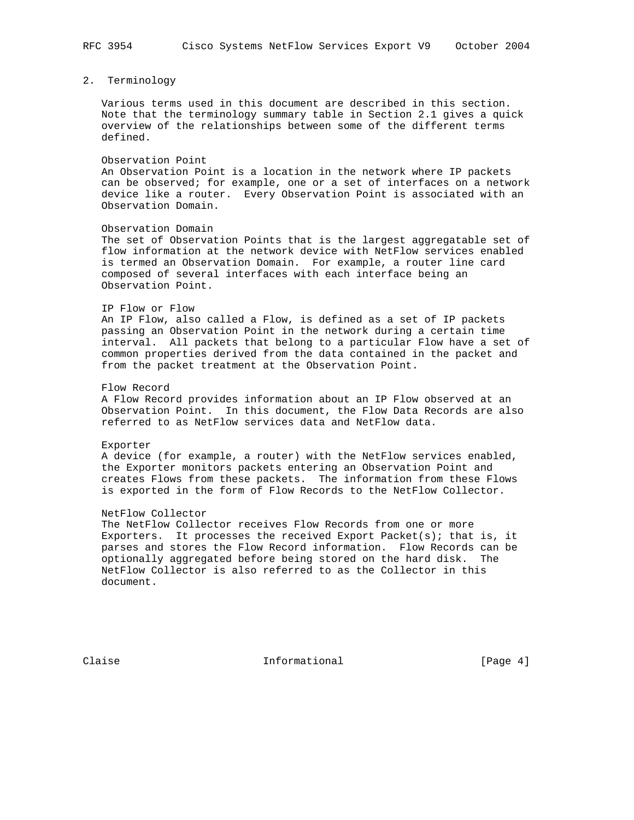# 2. Terminology

 Various terms used in this document are described in this section. Note that the terminology summary table in Section 2.1 gives a quick overview of the relationships between some of the different terms defined.

#### Observation Point

 An Observation Point is a location in the network where IP packets can be observed; for example, one or a set of interfaces on a network device like a router. Every Observation Point is associated with an Observation Domain.

#### Observation Domain

 The set of Observation Points that is the largest aggregatable set of flow information at the network device with NetFlow services enabled is termed an Observation Domain. For example, a router line card composed of several interfaces with each interface being an Observation Point.

## IP Flow or Flow

 An IP Flow, also called a Flow, is defined as a set of IP packets passing an Observation Point in the network during a certain time interval. All packets that belong to a particular Flow have a set of common properties derived from the data contained in the packet and from the packet treatment at the Observation Point.

#### Flow Record

 A Flow Record provides information about an IP Flow observed at an Observation Point. In this document, the Flow Data Records are also referred to as NetFlow services data and NetFlow data.

### Exporter

 A device (for example, a router) with the NetFlow services enabled, the Exporter monitors packets entering an Observation Point and creates Flows from these packets. The information from these Flows is exported in the form of Flow Records to the NetFlow Collector.

# NetFlow Collector

 The NetFlow Collector receives Flow Records from one or more Exporters. It processes the received Export Packet(s); that is, it parses and stores the Flow Record information. Flow Records can be optionally aggregated before being stored on the hard disk. The NetFlow Collector is also referred to as the Collector in this document.

Claise **Informational Informational** [Page 4]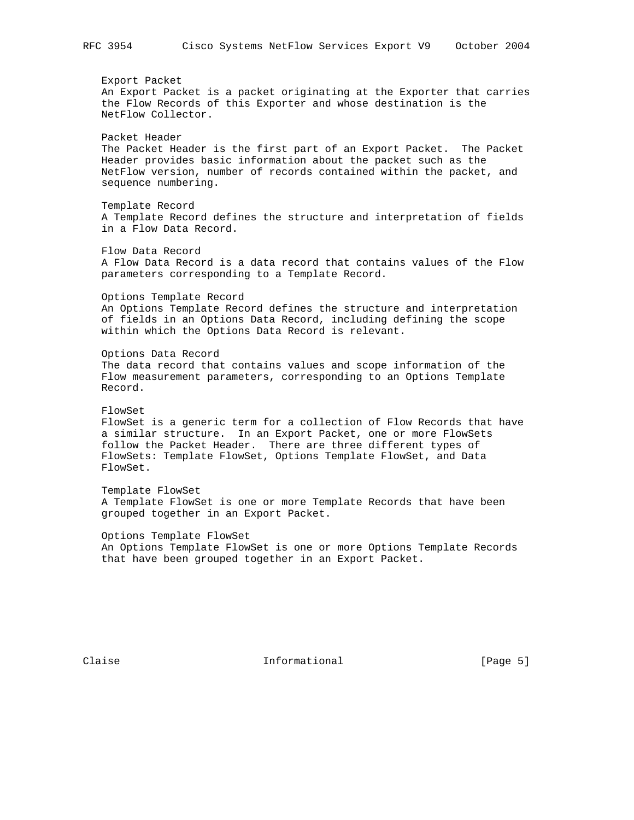Export Packet An Export Packet is a packet originating at the Exporter that carries the Flow Records of this Exporter and whose destination is the NetFlow Collector. Packet Header The Packet Header is the first part of an Export Packet. The Packet Header provides basic information about the packet such as the NetFlow version, number of records contained within the packet, and sequence numbering. Template Record A Template Record defines the structure and interpretation of fields in a Flow Data Record. Flow Data Record A Flow Data Record is a data record that contains values of the Flow parameters corresponding to a Template Record. Options Template Record An Options Template Record defines the structure and interpretation of fields in an Options Data Record, including defining the scope within which the Options Data Record is relevant. Options Data Record The data record that contains values and scope information of the Flow measurement parameters, corresponding to an Options Template Record. FlowSet FlowSet is a generic term for a collection of Flow Records that have a similar structure. In an Export Packet, one or more FlowSets follow the Packet Header. There are three different types of FlowSets: Template FlowSet, Options Template FlowSet, and Data FlowSet. Template FlowSet A Template FlowSet is one or more Template Records that have been grouped together in an Export Packet. Options Template FlowSet An Options Template FlowSet is one or more Options Template Records that have been grouped together in an Export Packet.

Claise **Informational Informational** [Page 5]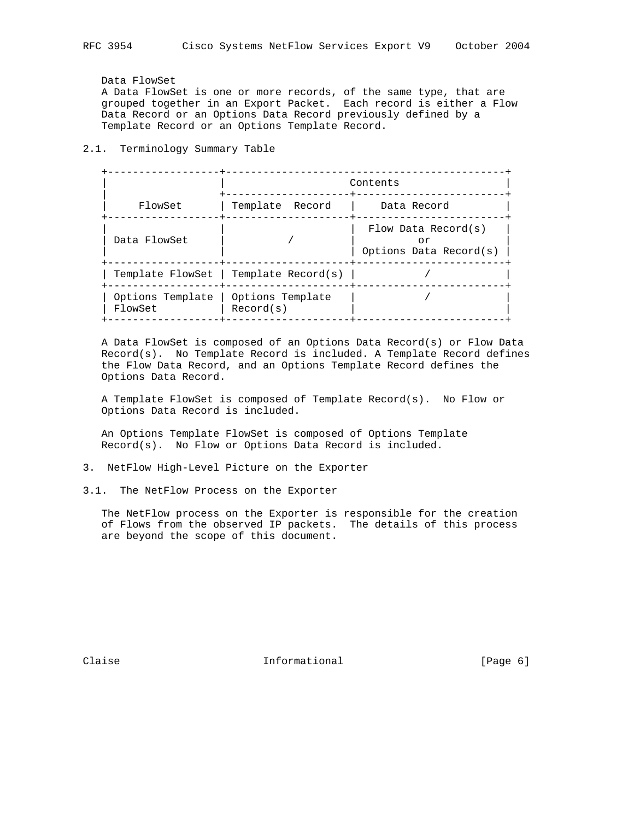# Data FlowSet

 A Data FlowSet is one or more records, of the same type, that are grouped together in an Export Packet. Each record is either a Flow Data Record or an Options Data Record previously defined by a Template Record or an Options Template Record.

# 2.1. Terminology Summary Table

|                             |                                       | Contents                                               |
|-----------------------------|---------------------------------------|--------------------------------------------------------|
| FlowSet                     | Template Record                       | Data Record                                            |
| Data FlowSet                |                                       | Flow Data Record $(s)$<br>or<br>Options Data Record(s) |
|                             | Template FlowSet   Template Record(s) |                                                        |
| Options Template<br>FlowSet | Options Template<br>Record(s)         |                                                        |

 A Data FlowSet is composed of an Options Data Record(s) or Flow Data Record(s). No Template Record is included. A Template Record defines the Flow Data Record, and an Options Template Record defines the Options Data Record.

 A Template FlowSet is composed of Template Record(s). No Flow or Options Data Record is included.

 An Options Template FlowSet is composed of Options Template Record(s). No Flow or Options Data Record is included.

- 3. NetFlow High-Level Picture on the Exporter
- 3.1. The NetFlow Process on the Exporter

 The NetFlow process on the Exporter is responsible for the creation of Flows from the observed IP packets. The details of this process are beyond the scope of this document.

Claise **Informational** [Page 6]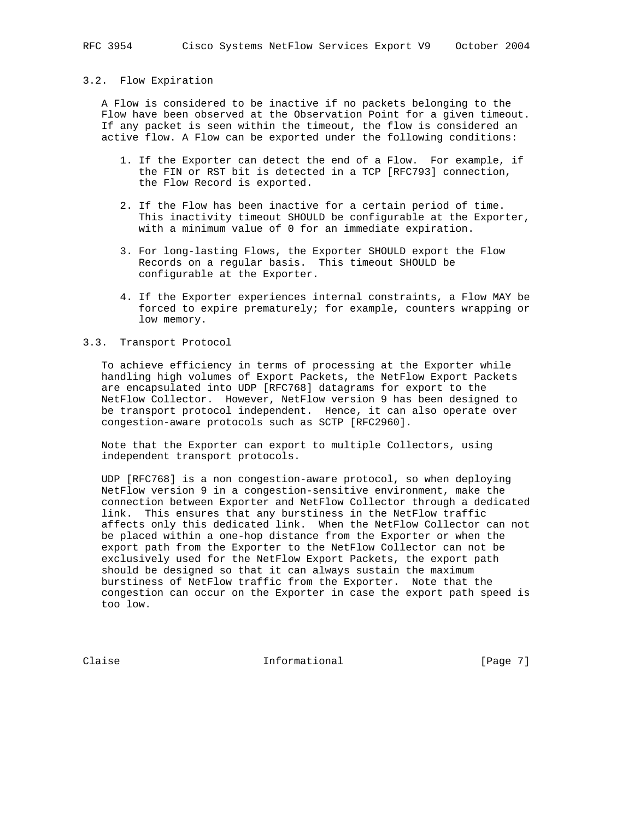## 3.2. Flow Expiration

 A Flow is considered to be inactive if no packets belonging to the Flow have been observed at the Observation Point for a given timeout. If any packet is seen within the timeout, the flow is considered an active flow. A Flow can be exported under the following conditions:

- 1. If the Exporter can detect the end of a Flow. For example, if the FIN or RST bit is detected in a TCP [RFC793] connection, the Flow Record is exported.
- 2. If the Flow has been inactive for a certain period of time. This inactivity timeout SHOULD be configurable at the Exporter, with a minimum value of 0 for an immediate expiration.
- 3. For long-lasting Flows, the Exporter SHOULD export the Flow Records on a regular basis. This timeout SHOULD be configurable at the Exporter.
- 4. If the Exporter experiences internal constraints, a Flow MAY be forced to expire prematurely; for example, counters wrapping or low memory.

# 3.3. Transport Protocol

 To achieve efficiency in terms of processing at the Exporter while handling high volumes of Export Packets, the NetFlow Export Packets are encapsulated into UDP [RFC768] datagrams for export to the NetFlow Collector. However, NetFlow version 9 has been designed to be transport protocol independent. Hence, it can also operate over congestion-aware protocols such as SCTP [RFC2960].

 Note that the Exporter can export to multiple Collectors, using independent transport protocols.

 UDP [RFC768] is a non congestion-aware protocol, so when deploying NetFlow version 9 in a congestion-sensitive environment, make the connection between Exporter and NetFlow Collector through a dedicated link. This ensures that any burstiness in the NetFlow traffic affects only this dedicated link. When the NetFlow Collector can not be placed within a one-hop distance from the Exporter or when the export path from the Exporter to the NetFlow Collector can not be exclusively used for the NetFlow Export Packets, the export path should be designed so that it can always sustain the maximum burstiness of NetFlow traffic from the Exporter. Note that the congestion can occur on the Exporter in case the export path speed is too low.

Claise **Informational Informational** [Page 7]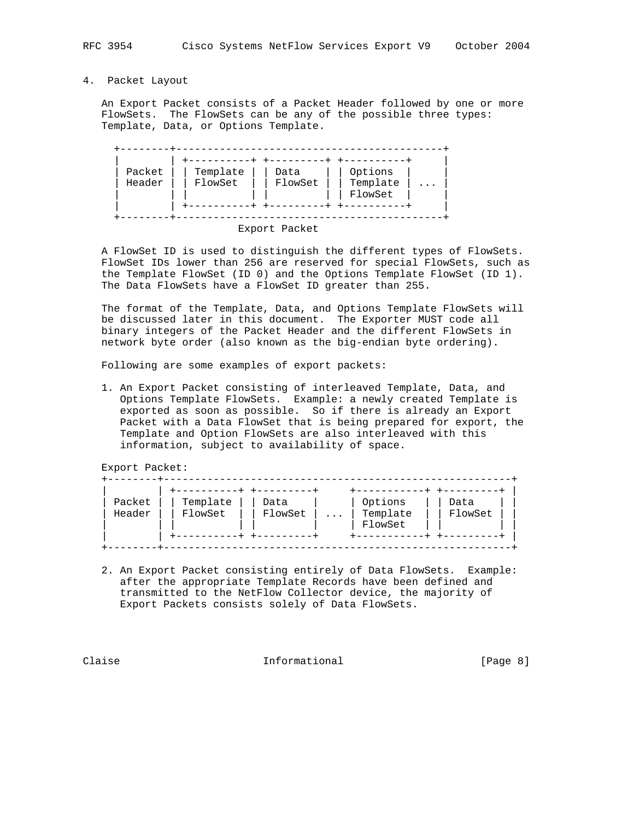# 4. Packet Layout

 An Export Packet consists of a Packet Header followed by one or more FlowSets. The FlowSets can be any of the possible three types: Template, Data, or Options Template.

| Packet | Template | Data    | Options             |           |
|--------|----------|---------|---------------------|-----------|
| Header | FlowSet  | FlowSet | Template<br>FlowSet | $\ddotsc$ |
|        |          |         |                     |           |

Export Packet

 A FlowSet ID is used to distinguish the different types of FlowSets. FlowSet IDs lower than 256 are reserved for special FlowSets, such as the Template FlowSet (ID 0) and the Options Template FlowSet (ID 1). The Data FlowSets have a FlowSet ID greater than 255.

 The format of the Template, Data, and Options Template FlowSets will be discussed later in this document. The Exporter MUST code all binary integers of the Packet Header and the different FlowSets in network byte order (also known as the big-endian byte ordering).

Following are some examples of export packets:

 1. An Export Packet consisting of interleaved Template, Data, and Options Template FlowSets. Example: a newly created Template is exported as soon as possible. So if there is already an Export Packet with a Data FlowSet that is being prepared for export, the Template and Option FlowSets are also interleaved with this information, subject to availability of space.

Export Packet:

| Packet<br>Header | Template<br>FlowSet | Data<br>FlowSet | $\ldots$ | Options<br>Template<br>FlowSet | Data<br>FlowSet |
|------------------|---------------------|-----------------|----------|--------------------------------|-----------------|
|------------------|---------------------|-----------------|----------|--------------------------------|-----------------|

 2. An Export Packet consisting entirely of Data FlowSets. Example: after the appropriate Template Records have been defined and transmitted to the NetFlow Collector device, the majority of Export Packets consists solely of Data FlowSets.

Claise **Informational Informational** [Page 8]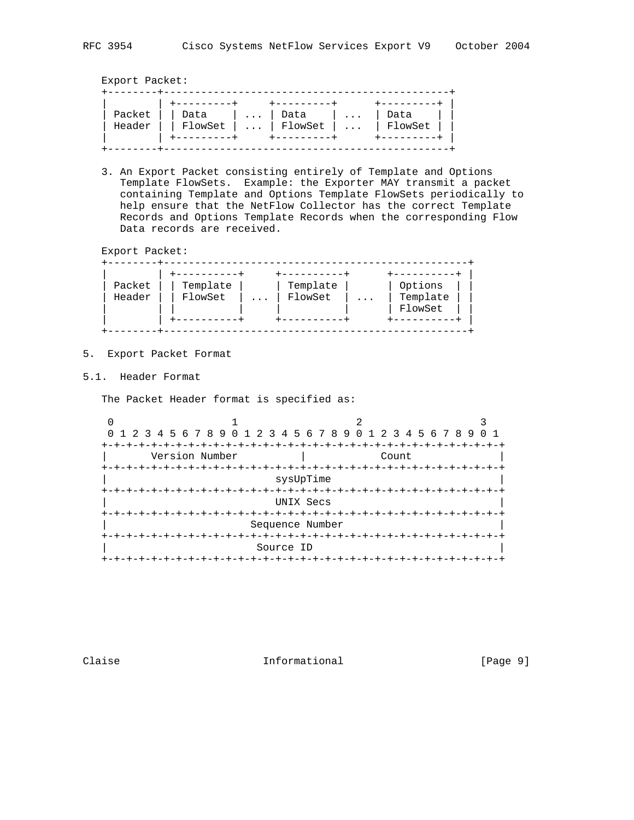Export Packet:

| Data | Data                  | Data                                               |
|------|-----------------------|----------------------------------------------------|
|      |                       |                                                    |
|      | $+ - - - - - - - - +$ | Header $\vert$   FlowSet      FlowSet      FlowSet |

 3. An Export Packet consisting entirely of Template and Options Template FlowSets. Example: the Exporter MAY transmit a packet containing Template and Options Template FlowSets periodically to help ensure that the NetFlow Collector has the correct Template Records and Options Template Records when the corresponding Flow Data records are received.

Export Packet:

| Packet<br>Header | Template<br>FlowSet |  | Template<br>FlowSet | $\cdots$ | Options<br>Template<br>FlowSet |
|------------------|---------------------|--|---------------------|----------|--------------------------------|
|------------------|---------------------|--|---------------------|----------|--------------------------------|

- 5. Export Packet Format
- 5.1. Header Format

The Packet Header format is specified as:

| 0 1 2 3 4 5 6 7 8 9 0 1 2 3 4 5 6 7 8 9 0 1 2 3 4 5 6 7 8 9 |                   |       |           |
|-------------------------------------------------------------|-------------------|-------|-----------|
|                                                             |                   |       | +-+-+-+-+ |
| Version Number                                              |                   | Count |           |
|                                                             |                   |       |           |
|                                                             | sysUpTime         |       |           |
|                                                             |                   |       |           |
|                                                             | UNIX Secs         |       |           |
|                                                             |                   |       |           |
|                                                             | Sequence Number   |       |           |
|                                                             |                   |       |           |
|                                                             | Source ID         |       |           |
|                                                             | +-+-+-+-+-+-+-+-+ |       |           |

Claise **Informational Informational** [Page 9]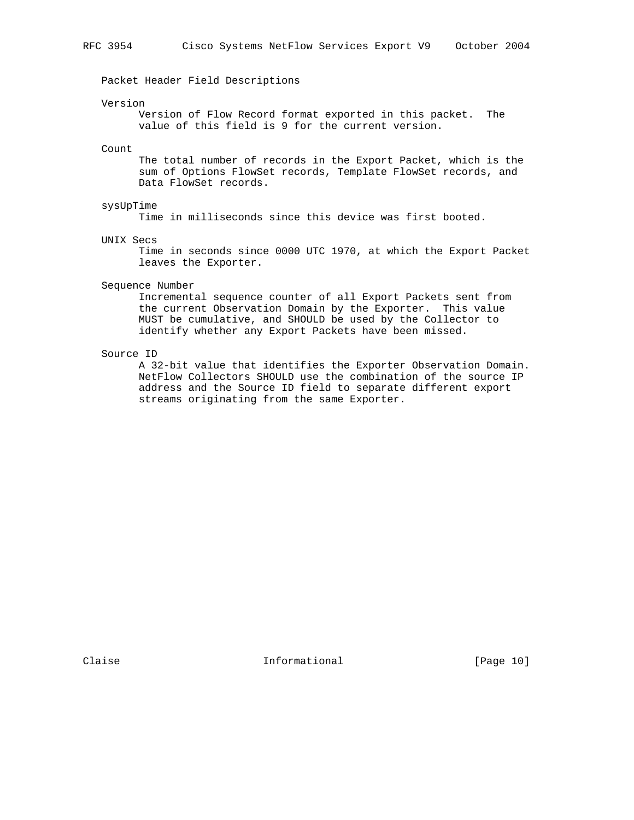Packet Header Field Descriptions

#### Version

 Version of Flow Record format exported in this packet. The value of this field is 9 for the current version.

### Count

 The total number of records in the Export Packet, which is the sum of Options FlowSet records, Template FlowSet records, and Data FlowSet records.

# sysUpTime

Time in milliseconds since this device was first booted.

#### UNIX Secs

 Time in seconds since 0000 UTC 1970, at which the Export Packet leaves the Exporter.

### Sequence Number

 Incremental sequence counter of all Export Packets sent from the current Observation Domain by the Exporter. This value MUST be cumulative, and SHOULD be used by the Collector to identify whether any Export Packets have been missed.

# Source ID

 A 32-bit value that identifies the Exporter Observation Domain. NetFlow Collectors SHOULD use the combination of the source IP address and the Source ID field to separate different export streams originating from the same Exporter.

Claise **Informational** [Page 10]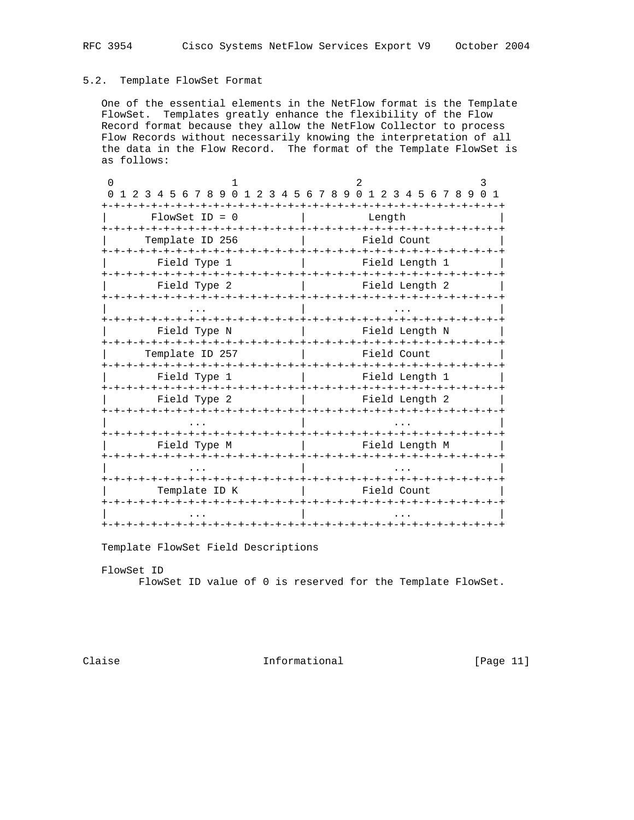# 5.2. Template FlowSet Format

 One of the essential elements in the NetFlow format is the Template FlowSet. Templates greatly enhance the flexibility of the Flow Record format because they allow the NetFlow Collector to process Flow Records without necessarily knowing the interpretation of all the data in the Flow Record. The format of the Template FlowSet is as follows:

| 1 2 3 4 5 6 7 8 9 0 1 2 3 4 5 6 7 8 9 0 1 2 3 4 5 6 7 8 9 |                             | -+-+-+-+-+-+-+-+ |                                     |                |                          | 0 1 |
|-----------------------------------------------------------|-----------------------------|------------------|-------------------------------------|----------------|--------------------------|-----|
| $FlowSet$ ID = 0                                          |                             |                  | Length                              |                |                          |     |
| -+-+-+-+-+-+-+-+-+-+-+-+-+-+-+<br>Template ID 256         |                             | -+-+-+-+         |                                     | Field Count    | $-+ - + - + - + - + - +$ |     |
| Field Type 1                                              |                             |                  |                                     | Field Length 1 |                          |     |
| Field Type 2                                              |                             |                  |                                     | Field Length 2 |                          |     |
|                                                           |                             |                  |                                     |                |                          |     |
| -+-+-+-+-+-+-+-+-+-+-+-+-+-<br>Field Type N               |                             |                  | -+-+-+-+-+-+-+-+-+-+-+-+-+-+-+-+-+- | Field Length N |                          |     |
| Template ID 257                                           |                             |                  |                                     | Field Count    |                          |     |
| Field Type 1                                              |                             |                  |                                     | Field Length 1 |                          |     |
| Field Type 2                                              |                             |                  |                                     | Field Length 2 |                          |     |
|                                                           |                             |                  |                                     |                |                          |     |
| Field Type M                                              |                             |                  |                                     | Field Length M |                          |     |
|                                                           |                             |                  |                                     |                |                          |     |
| Template ID K                                             | -+-+-+-+-+-+-+-+-+-+-+-+-+- |                  |                                     | Field Count    |                          |     |
|                                                           |                             |                  |                                     |                |                          |     |
|                                                           |                             |                  |                                     |                |                          |     |

Template FlowSet Field Descriptions

 FlowSet ID FlowSet ID value of 0 is reserved for the Template FlowSet.

Claise **Informational** [Page 11]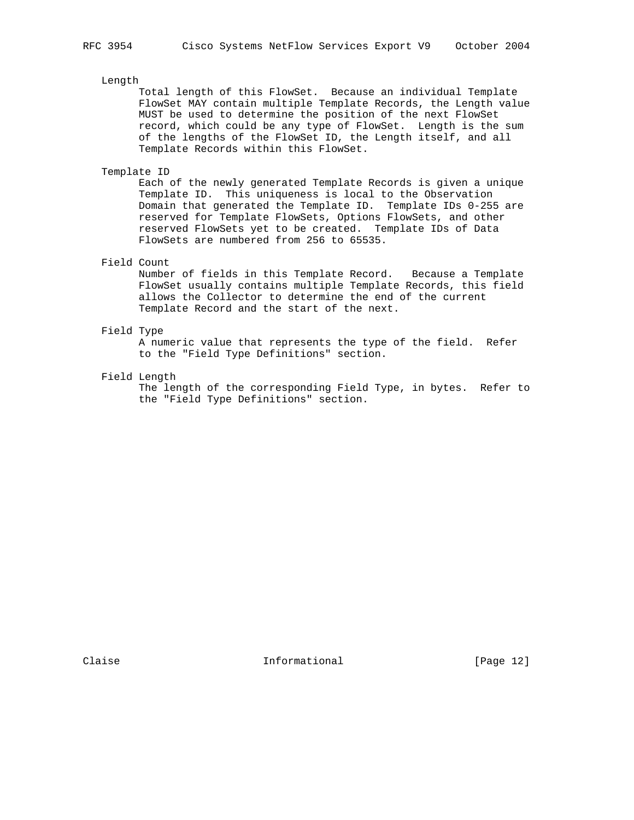# Length

 Total length of this FlowSet. Because an individual Template FlowSet MAY contain multiple Template Records, the Length value MUST be used to determine the position of the next FlowSet record, which could be any type of FlowSet. Length is the sum of the lengths of the FlowSet ID, the Length itself, and all Template Records within this FlowSet.

Template ID

 Each of the newly generated Template Records is given a unique Template ID. This uniqueness is local to the Observation Domain that generated the Template ID. Template IDs 0-255 are reserved for Template FlowSets, Options FlowSets, and other reserved FlowSets yet to be created. Template IDs of Data FlowSets are numbered from 256 to 65535.

# Field Count

 Number of fields in this Template Record. Because a Template FlowSet usually contains multiple Template Records, this field allows the Collector to determine the end of the current Template Record and the start of the next.

# Field Type

 A numeric value that represents the type of the field. Refer to the "Field Type Definitions" section.

# Field Length

 The length of the corresponding Field Type, in bytes. Refer to the "Field Type Definitions" section.

Claise **Informational** [Page 12]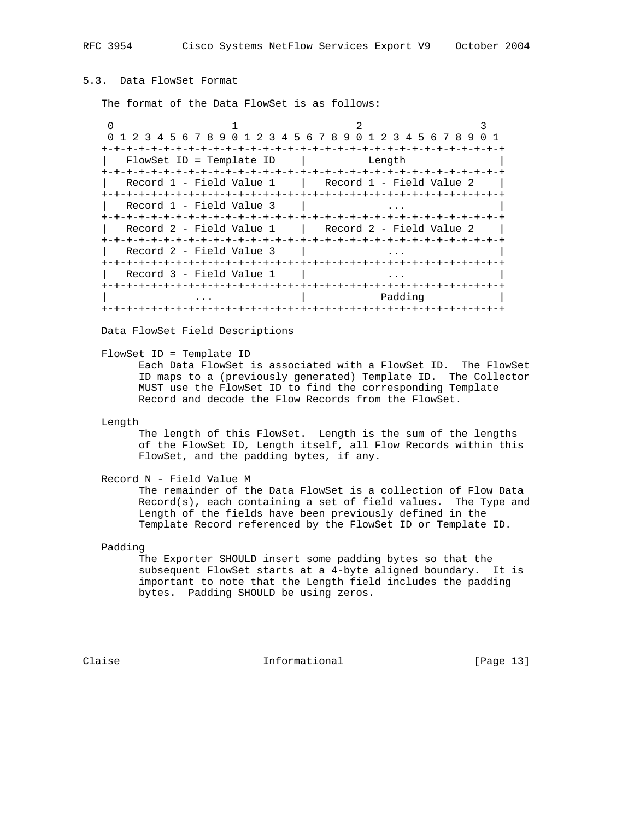# 5.3. Data FlowSet Format

The format of the Data FlowSet is as follows:

0  $1$  2 3 0 1 2 3 4 5 6 7 8 9 0 1 2 3 4 5 6 7 8 9 0 1 2 3 4 5 6 7 8 9 0 1 +-+-+-+-+-+-+-+-+-+-+-+-+-+-+-+-+-+-+-+-+-+-+-+-+-+-+-+-+-+-+-+-+ FlowSet ID = Template ID | Length +-+-+-+-+-+-+-+-+-+-+-+-+-+-+-+-+-+-+-+-+-+-+-+-+-+-+-+-+-+-+-+-+ Record 1 - Field Value 1 | Record 1 - Field Value 2 +-+-+-+-+-+-+-+-+-+-+-+-+-+-+-+-+-+-+-+-+-+-+-+-+-+-+-+-+-+-+-+-+  $\text{Record 1 - Field Value 3}$  | +-+-+-+-+-+-+-+-+-+-+-+-+-+-+-+-+-+-+-+-+-+-+-+-+-+-+-+-+-+-+-+-+  $\texttt{Record 2 - Field Value 1}$  | Record 2 - Field Value 2 +-+-+-+-+-+-+-+-+-+-+-+-+-+-+-+-+-+-+-+-+-+-+-+-+-+-+-+-+-+-+-+-+ Record 2 - Field Value 3 | ... +-+-+-+-+-+-+-+-+-+-+-+-+-+-+-+-+-+-+-+-+-+-+-+-+-+-+-+-+-+-+-+-+ | Record 3 - Field Value 1 | ... | +-+-+-+-+-+-+-+-+-+-+-+-+-+-+-+-+-+-+-+-+-+-+-+-+-+-+-+-+-+-+-+-+ | ... Padding | Padding | Padding | Padding | Padding | Padding | Padding | Padding | Padding | Padding | Padding | Padding | Padding | Padding | Padding | Padding | Padding | Padding | Padding | Padding | Padding | Paddin +-+-+-+-+-+-+-+-+-+-+-+-+-+-+-+-+-+-+-+-+-+-+-+-+-+-+-+-+-+-+-+-+

Data FlowSet Field Descriptions

FlowSet ID = Template ID

 Each Data FlowSet is associated with a FlowSet ID. The FlowSet ID maps to a (previously generated) Template ID. The Collector MUST use the FlowSet ID to find the corresponding Template Record and decode the Flow Records from the FlowSet.

Length

 The length of this FlowSet. Length is the sum of the lengths of the FlowSet ID, Length itself, all Flow Records within this FlowSet, and the padding bytes, if any.

Record N - Field Value M

 The remainder of the Data FlowSet is a collection of Flow Data Record(s), each containing a set of field values. The Type and Length of the fields have been previously defined in the Template Record referenced by the FlowSet ID or Template ID.

Padding

 The Exporter SHOULD insert some padding bytes so that the subsequent FlowSet starts at a 4-byte aligned boundary. It is important to note that the Length field includes the padding bytes. Padding SHOULD be using zeros.

Claise **Informational** [Page 13]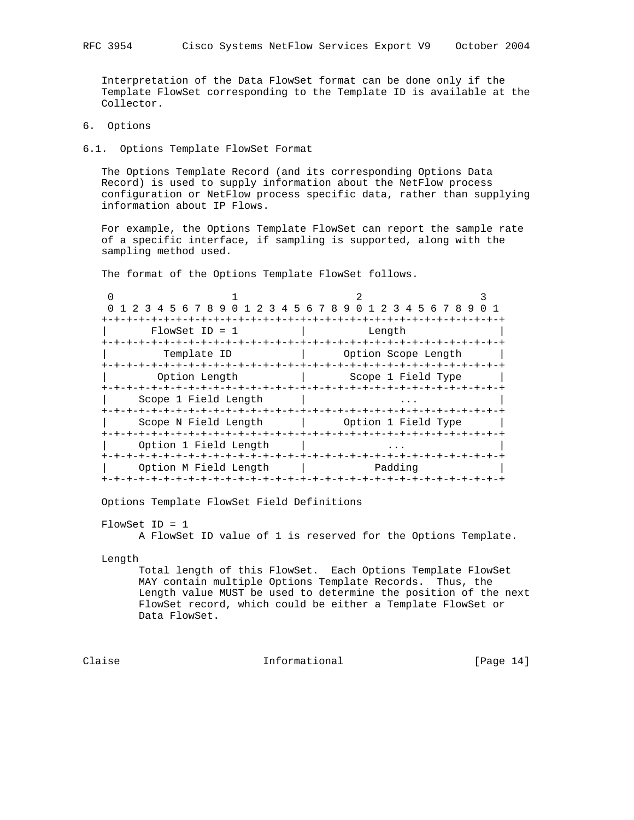Interpretation of the Data FlowSet format can be done only if the Template FlowSet corresponding to the Template ID is available at the Collector.

6. Options

6.1. Options Template FlowSet Format

 The Options Template Record (and its corresponding Options Data Record) is used to supply information about the NetFlow process configuration or NetFlow process specific data, rather than supplying information about IP Flows.

 For example, the Options Template FlowSet can report the sample rate of a specific interface, if sampling is supported, along with the sampling method used.

The format of the Options Template FlowSet follows.

| 1 2 3 4 5 6 7 8 9 0 1 2 3 4 5 6 7 8 9 0 1 2 3 4 5 6 7 8 9 0 1 |                                 |  |  |         |                     |  |  |  |
|---------------------------------------------------------------|---------------------------------|--|--|---------|---------------------|--|--|--|
|                                                               | -+-+-+-+-+-+-+-+-+-+-+-+-+-+-+- |  |  |         |                     |  |  |  |
| $FlowSet$ ID = 1                                              |                                 |  |  | Length  |                     |  |  |  |
|                                                               |                                 |  |  |         |                     |  |  |  |
| Template ID                                                   |                                 |  |  |         | Option Scope Length |  |  |  |
|                                                               |                                 |  |  |         |                     |  |  |  |
| Option Length                                                 |                                 |  |  |         | Scope 1 Field Type  |  |  |  |
|                                                               |                                 |  |  |         |                     |  |  |  |
| Scope 1 Field Length                                          |                                 |  |  |         |                     |  |  |  |
|                                                               |                                 |  |  |         |                     |  |  |  |
| Scope N Field Length                                          |                                 |  |  |         | Option 1 Field Type |  |  |  |
|                                                               |                                 |  |  |         |                     |  |  |  |
| Option 1 Field Length                                         |                                 |  |  |         |                     |  |  |  |
|                                                               |                                 |  |  |         |                     |  |  |  |
| Option M Field Length                                         |                                 |  |  | Padding |                     |  |  |  |
|                                                               |                                 |  |  |         |                     |  |  |  |

Options Template FlowSet Field Definitions

FlowSet ID = 1

A FlowSet ID value of 1 is reserved for the Options Template.

Length

 Total length of this FlowSet. Each Options Template FlowSet MAY contain multiple Options Template Records. Thus, the Length value MUST be used to determine the position of the next FlowSet record, which could be either a Template FlowSet or Data FlowSet.

Claise **Informational** [Page 14]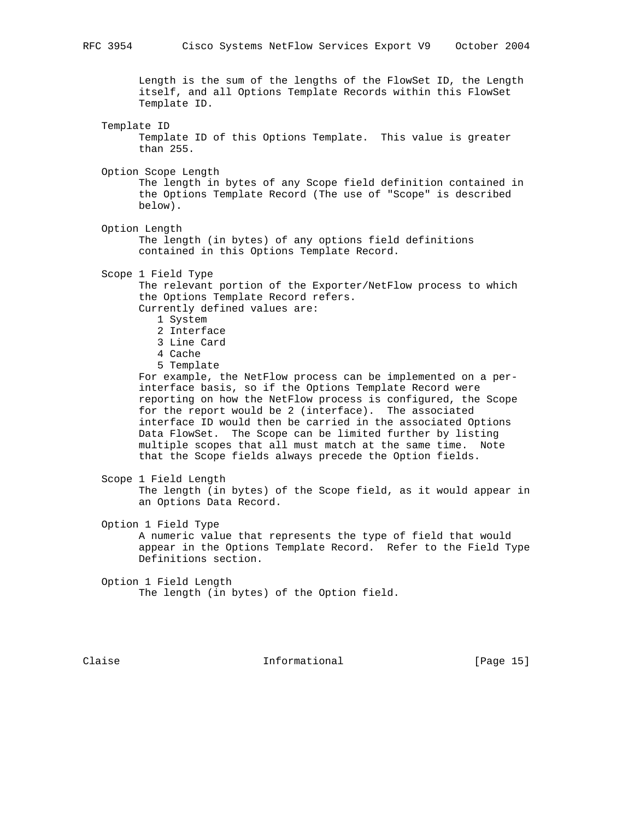Length is the sum of the lengths of the FlowSet ID, the Length itself, and all Options Template Records within this FlowSet Template ID.

Template ID

 Template ID of this Options Template. This value is greater than 255.

Option Scope Length

 The length in bytes of any Scope field definition contained in the Options Template Record (The use of "Scope" is described below).

Option Length

 The length (in bytes) of any options field definitions contained in this Options Template Record.

Scope 1 Field Type

 The relevant portion of the Exporter/NetFlow process to which the Options Template Record refers.

Currently defined values are:

- 1 System
- 2 Interface
- 3 Line Card
- 4 Cache
- 5 Template

 For example, the NetFlow process can be implemented on a per interface basis, so if the Options Template Record were reporting on how the NetFlow process is configured, the Scope for the report would be 2 (interface). The associated interface ID would then be carried in the associated Options Data FlowSet. The Scope can be limited further by listing multiple scopes that all must match at the same time. Note that the Scope fields always precede the Option fields.

Scope 1 Field Length

 The length (in bytes) of the Scope field, as it would appear in an Options Data Record.

Option 1 Field Type

 A numeric value that represents the type of field that would appear in the Options Template Record. Refer to the Field Type Definitions section.

 Option 1 Field Length The length (in bytes) of the Option field.

Claise **Informational** [Page 15]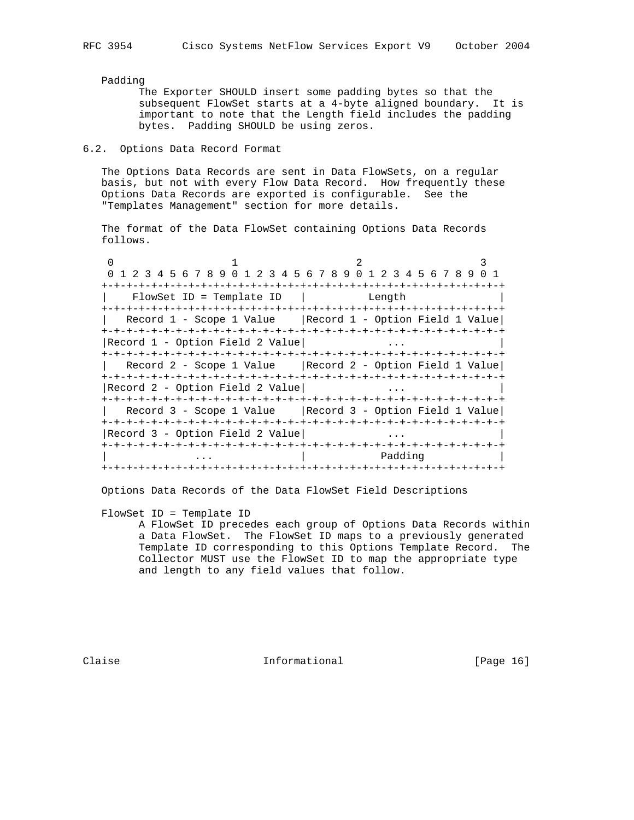## Padding

 The Exporter SHOULD insert some padding bytes so that the subsequent FlowSet starts at a 4-byte aligned boundary. It is important to note that the Length field includes the padding bytes. Padding SHOULD be using zeros.

# 6.2. Options Data Record Format

 The Options Data Records are sent in Data FlowSets, on a regular basis, but not with every Flow Data Record. How frequently these Options Data Records are exported is configurable. See the "Templates Management" section for more details.

 The format of the Data FlowSet containing Options Data Records follows.

| 1 2 3 4 5 6 7 8 9 0 1 2 3 4 5 6 7 8 9 0 1 2 3 4 5 6 7 8 9 0 1 |  |  |        |         |  |  |  |
|---------------------------------------------------------------|--|--|--------|---------|--|--|--|
|                                                               |  |  |        |         |  |  |  |
| FlowSet ID = Template ID                                      |  |  | Length |         |  |  |  |
|                                                               |  |  |        |         |  |  |  |
| Record 1 - Scope 1 Value   Record 1 - Option Field 1 Value    |  |  |        |         |  |  |  |
|                                                               |  |  |        |         |  |  |  |
| Record 1 - Option Field 2 Value                               |  |  |        |         |  |  |  |
|                                                               |  |  |        |         |  |  |  |
| Record 2 - Scope 1 Value   Record 2 - Option Field 1 Value    |  |  |        |         |  |  |  |
|                                                               |  |  |        |         |  |  |  |
| Record 2 - Option Field 2 Value                               |  |  |        |         |  |  |  |
|                                                               |  |  |        |         |  |  |  |
| Record 3 - Scope 1 Value   Record 3 - Option Field 1 Value    |  |  |        |         |  |  |  |
|                                                               |  |  |        |         |  |  |  |
| Record 3 - Option Field 2 Value                               |  |  |        |         |  |  |  |
|                                                               |  |  |        |         |  |  |  |
|                                                               |  |  |        | Padding |  |  |  |
|                                                               |  |  |        |         |  |  |  |

Options Data Records of the Data FlowSet Field Descriptions

FlowSet ID = Template ID

 A FlowSet ID precedes each group of Options Data Records within a Data FlowSet. The FlowSet ID maps to a previously generated Template ID corresponding to this Options Template Record. The Collector MUST use the FlowSet ID to map the appropriate type and length to any field values that follow.

Claise **Informational** [Page 16]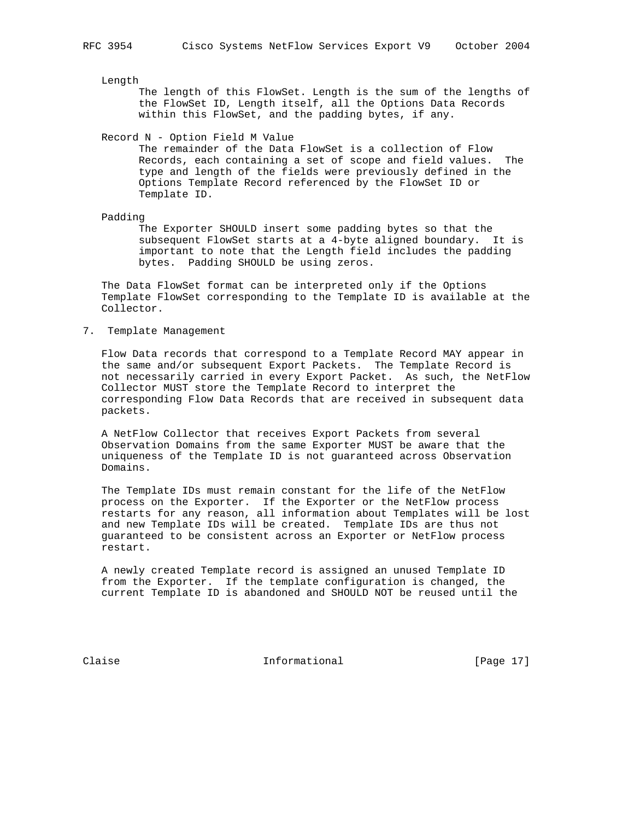Length

 The length of this FlowSet. Length is the sum of the lengths of the FlowSet ID, Length itself, all the Options Data Records within this FlowSet, and the padding bytes, if any.

Record N - Option Field M Value

 The remainder of the Data FlowSet is a collection of Flow Records, each containing a set of scope and field values. The type and length of the fields were previously defined in the Options Template Record referenced by the FlowSet ID or Template ID.

Padding

 The Exporter SHOULD insert some padding bytes so that the subsequent FlowSet starts at a 4-byte aligned boundary. It is important to note that the Length field includes the padding bytes. Padding SHOULD be using zeros.

 The Data FlowSet format can be interpreted only if the Options Template FlowSet corresponding to the Template ID is available at the Collector.

7. Template Management

 Flow Data records that correspond to a Template Record MAY appear in the same and/or subsequent Export Packets. The Template Record is not necessarily carried in every Export Packet. As such, the NetFlow Collector MUST store the Template Record to interpret the corresponding Flow Data Records that are received in subsequent data packets.

 A NetFlow Collector that receives Export Packets from several Observation Domains from the same Exporter MUST be aware that the uniqueness of the Template ID is not guaranteed across Observation Domains.

 The Template IDs must remain constant for the life of the NetFlow process on the Exporter. If the Exporter or the NetFlow process restarts for any reason, all information about Templates will be lost and new Template IDs will be created. Template IDs are thus not guaranteed to be consistent across an Exporter or NetFlow process restart.

 A newly created Template record is assigned an unused Template ID from the Exporter. If the template configuration is changed, the current Template ID is abandoned and SHOULD NOT be reused until the

Claise **Informational** [Page 17]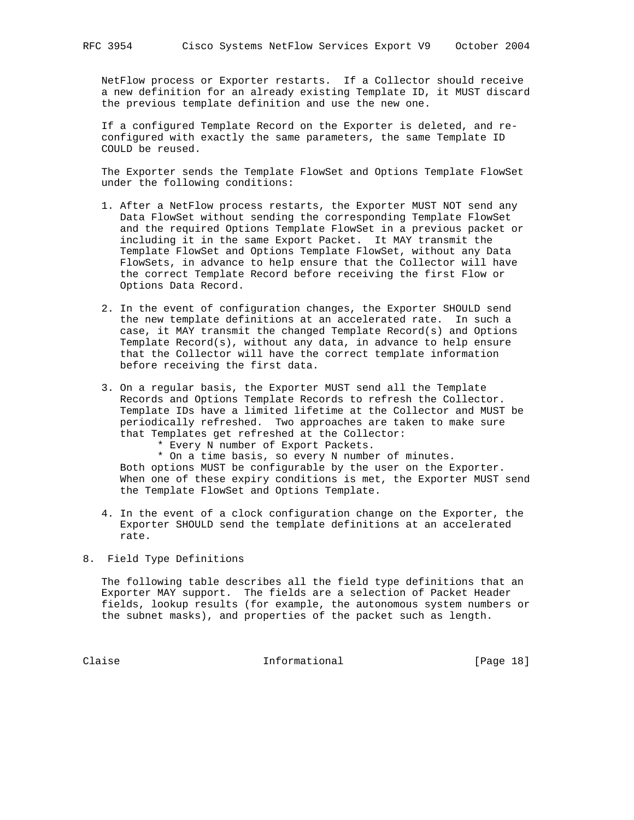NetFlow process or Exporter restarts. If a Collector should receive a new definition for an already existing Template ID, it MUST discard the previous template definition and use the new one.

 If a configured Template Record on the Exporter is deleted, and re configured with exactly the same parameters, the same Template ID COULD be reused.

 The Exporter sends the Template FlowSet and Options Template FlowSet under the following conditions:

- 1. After a NetFlow process restarts, the Exporter MUST NOT send any Data FlowSet without sending the corresponding Template FlowSet and the required Options Template FlowSet in a previous packet or including it in the same Export Packet. It MAY transmit the Template FlowSet and Options Template FlowSet, without any Data FlowSets, in advance to help ensure that the Collector will have the correct Template Record before receiving the first Flow or Options Data Record.
- 2. In the event of configuration changes, the Exporter SHOULD send the new template definitions at an accelerated rate. In such a case, it MAY transmit the changed Template Record(s) and Options Template Record(s), without any data, in advance to help ensure that the Collector will have the correct template information before receiving the first data.
- 3. On a regular basis, the Exporter MUST send all the Template Records and Options Template Records to refresh the Collector. Template IDs have a limited lifetime at the Collector and MUST be periodically refreshed. Two approaches are taken to make sure that Templates get refreshed at the Collector:
	- \* Every N number of Export Packets.

 \* On a time basis, so every N number of minutes. Both options MUST be configurable by the user on the Exporter. When one of these expiry conditions is met, the Exporter MUST send the Template FlowSet and Options Template.

- 4. In the event of a clock configuration change on the Exporter, the Exporter SHOULD send the template definitions at an accelerated rate.
- 8. Field Type Definitions

 The following table describes all the field type definitions that an Exporter MAY support. The fields are a selection of Packet Header fields, lookup results (for example, the autonomous system numbers or the subnet masks), and properties of the packet such as length.

Claise **Informational** [Page 18]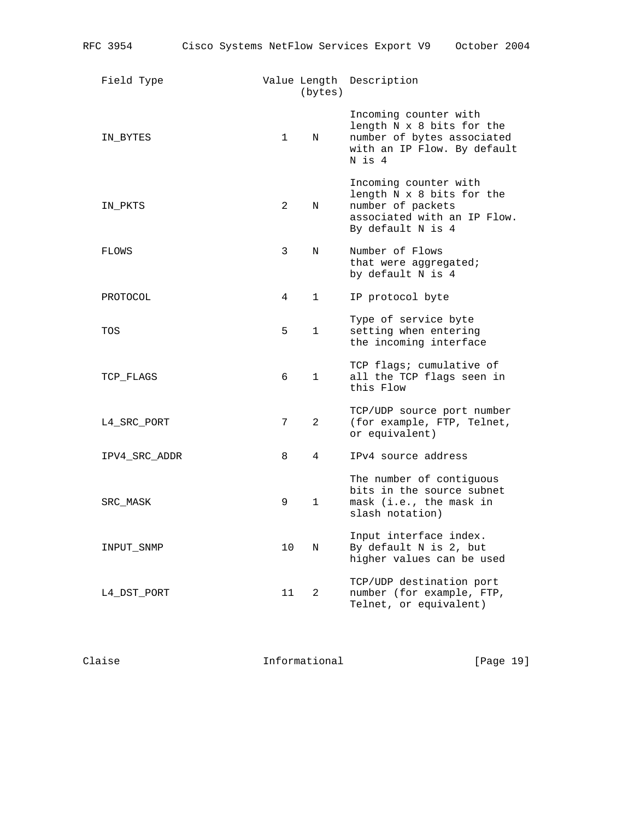| Field Type    |                | (bytes)        | Value Length Description                                                                                                    |
|---------------|----------------|----------------|-----------------------------------------------------------------------------------------------------------------------------|
| IN BYTES      | $1 \quad \Box$ | N              | Incoming counter with<br>length N x 8 bits for the<br>number of bytes associated<br>with an IP Flow. By default<br>N is 4   |
| IN_PKTS       | 2              | N              | Incoming counter with<br>length N x 8 bits for the<br>number of packets<br>associated with an IP Flow.<br>By default N is 4 |
| FLOWS         | 3              | N              | Number of Flows<br>that were aggregated;<br>by default N is 4                                                               |
| PROTOCOL      | 4              | $\mathbf 1$    | IP protocol byte                                                                                                            |
| TOS           | 5              | $\mathbf{1}$   | Type of service byte<br>setting when entering<br>the incoming interface                                                     |
| TCP_FLAGS     | 6              | 1              | TCP flags; cumulative of<br>all the TCP flags seen in<br>this Flow                                                          |
| L4_SRC_PORT   | 7              | $\overline{2}$ | TCP/UDP source port number<br>(for example, FTP, Telnet,<br>or equivalent)                                                  |
| IPV4_SRC_ADDR | 8              | $\overline{4}$ | IPv4 source address                                                                                                         |
| SRC_MASK      | 9              | $\mathbf{1}$   | The number of contiguous<br>bits in the source subnet<br>mask (i.e., the mask in<br>slash notation)                         |
| INPUT_SNMP    | 10             | N              | Input interface index.<br>By default N is 2, but<br>higher values can be used                                               |
| L4_DST_PORT   | 11             | 2              | TCP/UDP destination port<br>number (for example, FTP,<br>Telnet, or equivalent)                                             |

Claise Claise Informational [Page 19]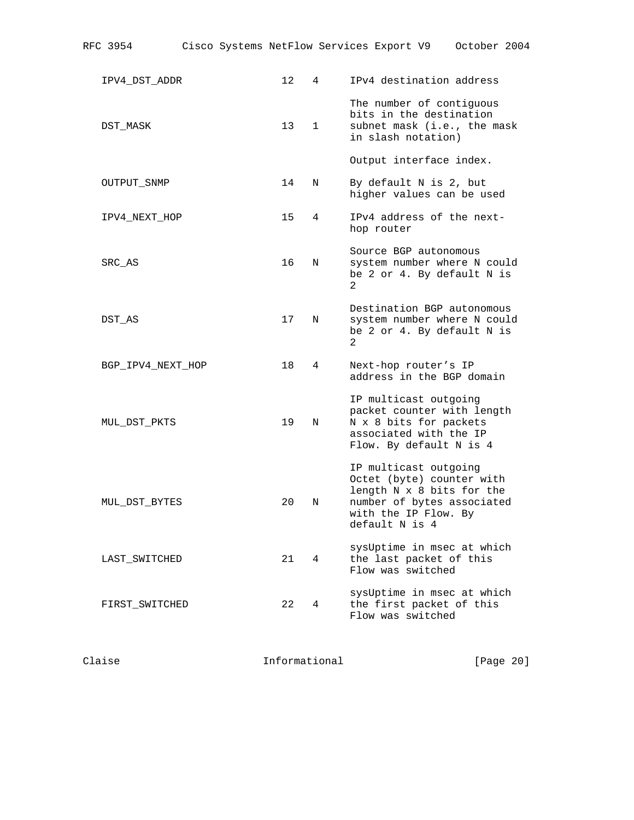| RFC 3954           |  |                 |                |   |                                                                           | Cisco Systems NetFlow Services Export V9 October 2004                                   |  |
|--------------------|--|-----------------|----------------|---|---------------------------------------------------------------------------|-----------------------------------------------------------------------------------------|--|
| IPV4_DST_ADDR      |  | 12 <sup>°</sup> | $\overline{4}$ |   |                                                                           | IPv4 destination address                                                                |  |
| DST MASK           |  | 13 <sup>°</sup> | $\mathbf{1}$   |   | in slash notation)                                                        | The number of contiguous<br>bits in the destination<br>subnet mask (i.e., the mask      |  |
|                    |  |                 |                |   | Output interface index.                                                   |                                                                                         |  |
| <b>OUTPUT SNMP</b> |  | 14              | N              |   | By default N is 2, but                                                    | higher values can be used                                                               |  |
| IPV4_NEXT_HOP      |  | 15              | 4              |   | hop router                                                                | IPv4 address of the next-                                                               |  |
| SRC_AS             |  | 16              | N              | 2 | Source BGP autonomous                                                     | system number where N could<br>be 2 or 4. By default N is                               |  |
| DST AS             |  | 17              | N              | 2 |                                                                           | Destination BGP autonomous<br>system number where N could<br>be 2 or 4. By default N is |  |
| BGP_IPV4_NEXT_HOP  |  | 18              | 4              |   | Next-hop router's IP                                                      | address in the BGP domain                                                               |  |
| MUL_DST_PKTS       |  | 19              | N              |   | IP multicast outgoing<br>N x 8 bits for packets<br>associated with the IP | packet counter with length<br>Flow. By default N is 4                                   |  |
| MUL_DST_BYTES      |  | 20              | N              |   | IP multicast outgoing<br>with the IP Flow. By<br>default N is 4           | Octet (byte) counter with<br>length N x 8 bits for the<br>number of bytes associated    |  |
| LAST_SWITCHED      |  | 21              | 4              |   | Flow was switched                                                         | sysUptime in msec at which<br>the last packet of this                                   |  |
| FIRST SWITCHED     |  | 22              | 4              |   | Flow was switched                                                         | sysUptime in msec at which<br>the first packet of this                                  |  |

Claise Claise Informational (Page 20)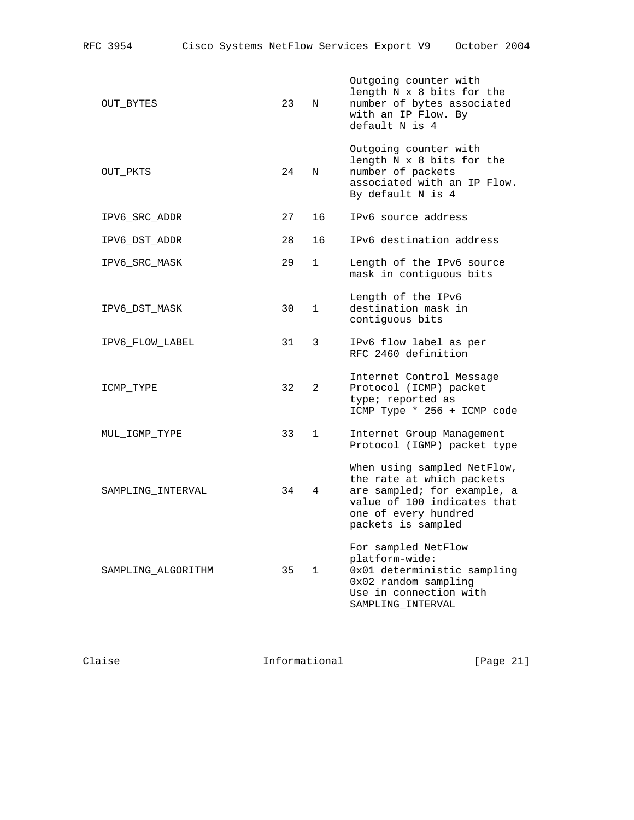| OUT BYTES          | 23 | N              | Outgoing counter with<br>length N x 8 bits for the<br>number of bytes associated<br>with an IP Flow. By<br>default N is 4                                            |
|--------------------|----|----------------|----------------------------------------------------------------------------------------------------------------------------------------------------------------------|
| OUT_PKTS           | 24 | N              | Outgoing counter with<br>length N x 8 bits for the<br>number of packets<br>associated with an IP Flow.<br>By default N is 4                                          |
| IPV6_SRC_ADDR      | 27 | 16             | IPv6 source address                                                                                                                                                  |
| IPV6 DST ADDR      | 28 | 16             | IPv6 destination address                                                                                                                                             |
| IPV6 SRC MASK      | 29 | $\mathbf 1$    | Length of the IPv6 source<br>mask in contiguous bits                                                                                                                 |
| IPV6_DST_MASK      | 30 | $\mathbf{1}$   | Length of the IPv6<br>destination mask in<br>contiguous bits                                                                                                         |
| IPV6 FLOW LABEL    | 31 | 3              | IPv6 flow label as per<br>RFC 2460 definition                                                                                                                        |
| ICMP_TYPE          | 32 | $\overline{2}$ | Internet Control Message<br>Protocol (ICMP) packet<br>type; reported as<br>ICMP Type * 256 + ICMP code                                                               |
| MUL IGMP TYPE      | 33 | $\mathbf{1}$   | Internet Group Management<br>Protocol (IGMP) packet type                                                                                                             |
| SAMPLING_INTERVAL  | 34 | $\overline{4}$ | When using sampled NetFlow,<br>the rate at which packets<br>are sampled; for example, a<br>value of 100 indicates that<br>one of every hundred<br>packets is sampled |
| SAMPLING ALGORITHM | 35 | $\mathbf{1}$   | For sampled NetFlow<br>platform-wide:<br>0x01 deterministic sampling<br>0x02 random sampling<br>Use in connection with<br>SAMPLING_INTERVAL                          |
|                    |    |                |                                                                                                                                                                      |

Claise Claise Informational [Page 21]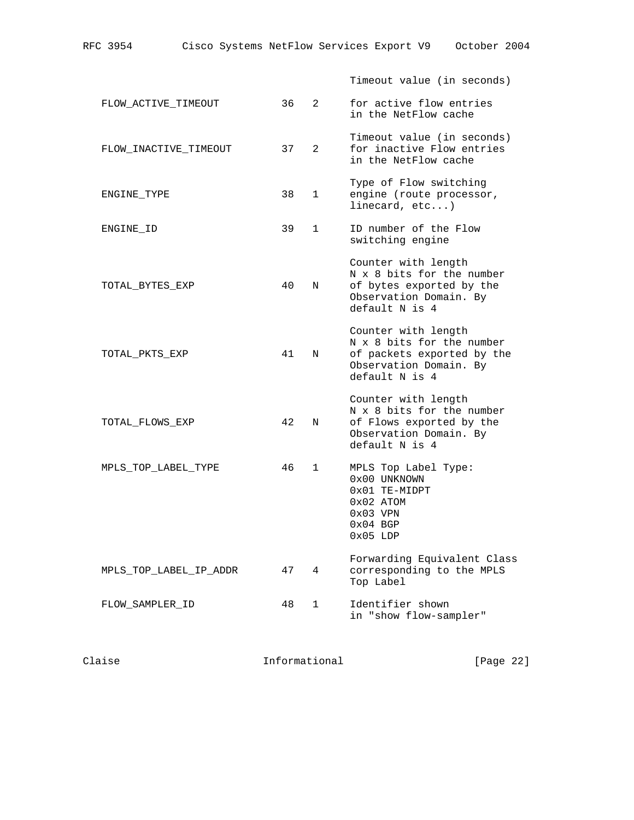|                        |    |               | Timeout value (in seconds)                                                                                                 |
|------------------------|----|---------------|----------------------------------------------------------------------------------------------------------------------------|
| FLOW ACTIVE TIMEOUT    | 36 | $\mathcal{L}$ | for active flow entries<br>in the NetFlow cache                                                                            |
| FLOW INACTIVE TIMEOUT  | 37 | 2             | Timeout value (in seconds)<br>for inactive Flow entries<br>in the NetFlow cache                                            |
| ENGINE TYPE            | 38 | $\mathbf{1}$  | Type of Flow switching<br>engine (route processor,<br>linecard, $etc.$ )                                                   |
| ENGINE ID              | 39 | $\mathbf{1}$  | ID number of the Flow<br>switching engine                                                                                  |
| TOTAL BYTES EXP        | 40 | N             | Counter with length<br>N x 8 bits for the number<br>of bytes exported by the<br>Observation Domain. By<br>default N is 4   |
| TOTAL PKTS EXP         | 41 | N             | Counter with length<br>N x 8 bits for the number<br>of packets exported by the<br>Observation Domain. By<br>default N is 4 |
| TOTAL_FLOWS_EXP        | 42 | N             | Counter with length<br>N x 8 bits for the number<br>of Flows exported by the<br>Observation Domain. By<br>default N is 4   |
| MPLS TOP LABEL TYPE    | 46 | $\mathbf{1}$  | MPLS Top Label Type:<br>0x00 UNKNOWN<br>0x01 TE-MIDPT<br>$0x02$ ATOM<br>$0x03$ VPN<br>$0x04$ BGP<br>$0x05$ LDP             |
| MPLS TOP LABEL IP ADDR | 47 | 4             | Forwarding Equivalent Class<br>corresponding to the MPLS<br>Top Label                                                      |
| FLOW SAMPLER ID        | 48 | $\mathbf{1}$  | Identifier shown<br>in "show flow-sampler"                                                                                 |
|                        |    |               |                                                                                                                            |

Claise Claise Informational [Page 22]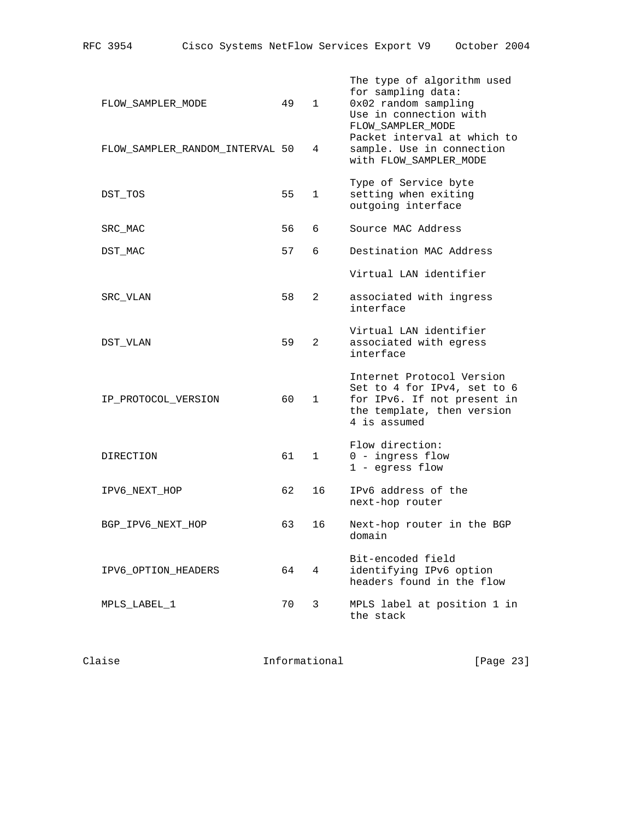| RFC 3954 |  |  |  | Cisco Systems NetFlow Services Export V9 |  |  | October 2004 |  |
|----------|--|--|--|------------------------------------------|--|--|--------------|--|
|----------|--|--|--|------------------------------------------|--|--|--------------|--|

| FLOW SAMPLER MODE               | 49 | $\mathbf{1}$   | The type of algorithm used<br>for sampling data:<br>0x02 random sampling<br>Use in connection with<br>FLOW_SAMPLER_MODE               |
|---------------------------------|----|----------------|---------------------------------------------------------------------------------------------------------------------------------------|
| FLOW SAMPLER RANDOM INTERVAL 50 |    | 4              | Packet interval at which to<br>sample. Use in connection<br>with FLOW_SAMPLER_MODE                                                    |
| DST TOS                         | 55 | $\mathbf{1}$   | Type of Service byte<br>setting when exiting<br>outgoing interface                                                                    |
| SRC MAC                         | 56 | 6              | Source MAC Address                                                                                                                    |
| DST MAC                         | 57 | 6              | Destination MAC Address                                                                                                               |
|                                 |    |                | Virtual LAN identifier                                                                                                                |
| SRC VLAN                        | 58 | $\overline{2}$ | associated with ingress<br>interface                                                                                                  |
| DST VLAN                        | 59 | $\overline{2}$ | Virtual LAN identifier<br>associated with egress<br>interface                                                                         |
| IP PROTOCOL VERSION             | 60 | $\mathbf{1}$   | Internet Protocol Version<br>Set to 4 for IPv4, set to 6<br>for IPv6. If not present in<br>the template, then version<br>4 is assumed |
| DIRECTION                       | 61 | $\mathbf{1}$   | Flow direction:<br>0 - ingress flow<br>1 - egress flow                                                                                |
| IPV6 NEXT HOP                   | 62 | 16             | IPv6 address of the<br>next-hop router                                                                                                |
| BGP_IPV6_NEXT_HOP               | 63 | 16             | Next-hop router in the BGP<br>domain                                                                                                  |
| IPV6_OPTION_HEADERS             | 64 | 4              | Bit-encoded field<br>identifying IPv6 option<br>headers found in the flow                                                             |
| MPLS LABEL 1                    | 70 | 3              | MPLS label at position 1 in<br>the stack                                                                                              |

Claise Claise Informational [Page 23]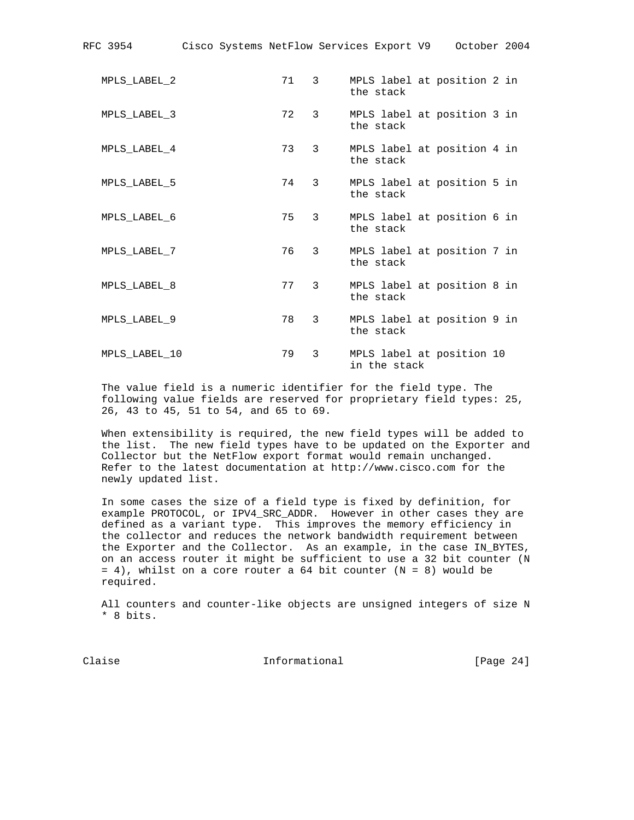| RFC 3954 |               | Cisco Systems NetFlow Services Export V9 |      |                |              | October 2004                |  |
|----------|---------------|------------------------------------------|------|----------------|--------------|-----------------------------|--|
|          | MPLS LABEL 2  |                                          | 71 3 |                | the stack    | MPLS label at position 2 in |  |
|          | MPLS LABEL 3  |                                          | 72 3 |                | the stack    | MPLS label at position 3 in |  |
|          | MPLS LABEL 4  |                                          | 73 3 |                | the stack    | MPLS label at position 4 in |  |
|          | MPLS LABEL 5  |                                          | 74 3 |                | the stack    | MPLS label at position 5 in |  |
|          | MPLS LABEL 6  |                                          | 75   | $\mathbf{3}$   | the stack    | MPLS label at position 6 in |  |
|          | MPLS LABEL 7  |                                          | 76   | $3^{\circ}$    | the stack    | MPLS label at position 7 in |  |
|          | MPLS LABEL 8  |                                          | 77 3 |                | the stack    | MPLS label at position 8 in |  |
|          | MPLS LABEL 9  |                                          | 78   | $\overline{3}$ | the stack    | MPLS label at position 9 in |  |
|          | MPLS LABEL 10 |                                          | 79   | $\mathbf{3}$   | in the stack | MPLS label at position 10   |  |

 The value field is a numeric identifier for the field type. The following value fields are reserved for proprietary field types: 25, 26, 43 to 45, 51 to 54, and 65 to 69.

 When extensibility is required, the new field types will be added to the list. The new field types have to be updated on the Exporter and Collector but the NetFlow export format would remain unchanged. Refer to the latest documentation at http://www.cisco.com for the newly updated list.

 In some cases the size of a field type is fixed by definition, for example PROTOCOL, or IPV4\_SRC\_ADDR. However in other cases they are defined as a variant type. This improves the memory efficiency in the collector and reduces the network bandwidth requirement between the Exporter and the Collector. As an example, in the case IN\_BYTES, on an access router it might be sufficient to use a 32 bit counter (N = 4), whilst on a core router a 64 bit counter (N = 8) would be required.

 All counters and counter-like objects are unsigned integers of size N \* 8 bits.

Claise **Informational** [Page 24]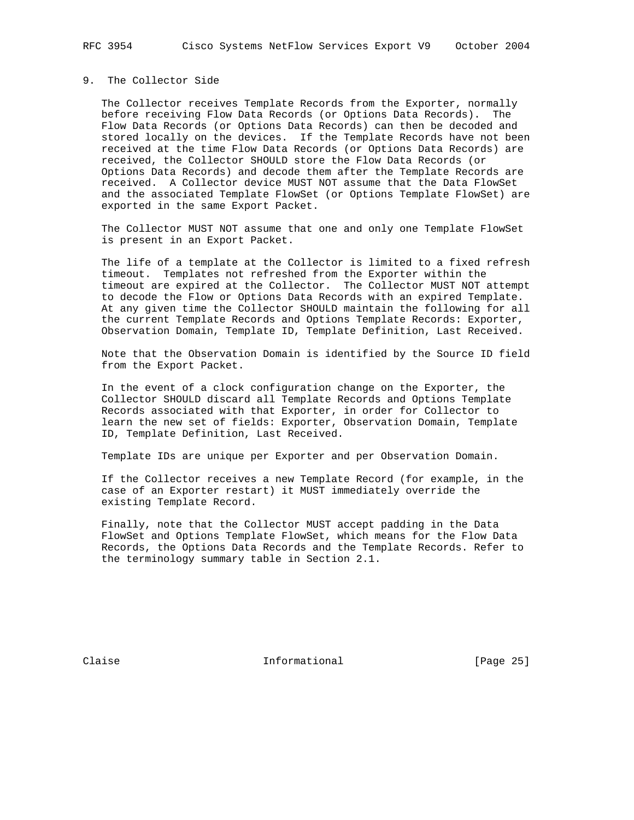# 9. The Collector Side

 The Collector receives Template Records from the Exporter, normally before receiving Flow Data Records (or Options Data Records). The Flow Data Records (or Options Data Records) can then be decoded and stored locally on the devices. If the Template Records have not been received at the time Flow Data Records (or Options Data Records) are received, the Collector SHOULD store the Flow Data Records (or Options Data Records) and decode them after the Template Records are received. A Collector device MUST NOT assume that the Data FlowSet and the associated Template FlowSet (or Options Template FlowSet) are exported in the same Export Packet.

 The Collector MUST NOT assume that one and only one Template FlowSet is present in an Export Packet.

 The life of a template at the Collector is limited to a fixed refresh timeout. Templates not refreshed from the Exporter within the timeout are expired at the Collector. The Collector MUST NOT attempt to decode the Flow or Options Data Records with an expired Template. At any given time the Collector SHOULD maintain the following for all the current Template Records and Options Template Records: Exporter, Observation Domain, Template ID, Template Definition, Last Received.

 Note that the Observation Domain is identified by the Source ID field from the Export Packet.

 In the event of a clock configuration change on the Exporter, the Collector SHOULD discard all Template Records and Options Template Records associated with that Exporter, in order for Collector to learn the new set of fields: Exporter, Observation Domain, Template ID, Template Definition, Last Received.

Template IDs are unique per Exporter and per Observation Domain.

 If the Collector receives a new Template Record (for example, in the case of an Exporter restart) it MUST immediately override the existing Template Record.

 Finally, note that the Collector MUST accept padding in the Data FlowSet and Options Template FlowSet, which means for the Flow Data Records, the Options Data Records and the Template Records. Refer to the terminology summary table in Section 2.1.

Claise **Informational** [Page 25]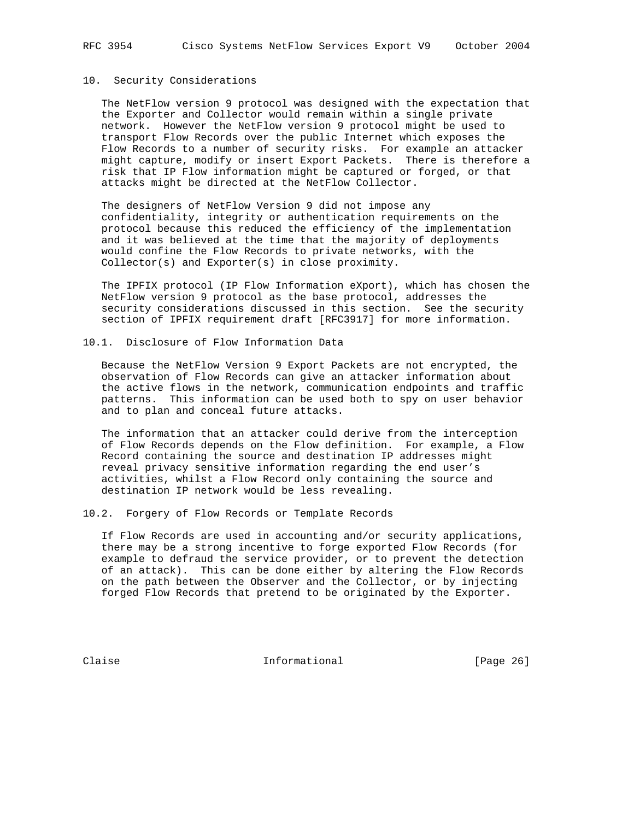# 10. Security Considerations

 The NetFlow version 9 protocol was designed with the expectation that the Exporter and Collector would remain within a single private network. However the NetFlow version 9 protocol might be used to transport Flow Records over the public Internet which exposes the Flow Records to a number of security risks. For example an attacker might capture, modify or insert Export Packets. There is therefore a risk that IP Flow information might be captured or forged, or that attacks might be directed at the NetFlow Collector.

 The designers of NetFlow Version 9 did not impose any confidentiality, integrity or authentication requirements on the protocol because this reduced the efficiency of the implementation and it was believed at the time that the majority of deployments would confine the Flow Records to private networks, with the Collector(s) and Exporter(s) in close proximity.

 The IPFIX protocol (IP Flow Information eXport), which has chosen the NetFlow version 9 protocol as the base protocol, addresses the security considerations discussed in this section. See the security section of IPFIX requirement draft [RFC3917] for more information.

10.1. Disclosure of Flow Information Data

 Because the NetFlow Version 9 Export Packets are not encrypted, the observation of Flow Records can give an attacker information about the active flows in the network, communication endpoints and traffic patterns. This information can be used both to spy on user behavior and to plan and conceal future attacks.

 The information that an attacker could derive from the interception of Flow Records depends on the Flow definition. For example, a Flow Record containing the source and destination IP addresses might reveal privacy sensitive information regarding the end user's activities, whilst a Flow Record only containing the source and destination IP network would be less revealing.

10.2. Forgery of Flow Records or Template Records

 If Flow Records are used in accounting and/or security applications, there may be a strong incentive to forge exported Flow Records (for example to defraud the service provider, or to prevent the detection of an attack). This can be done either by altering the Flow Records on the path between the Observer and the Collector, or by injecting forged Flow Records that pretend to be originated by the Exporter.

Claise **Informational** [Page 26]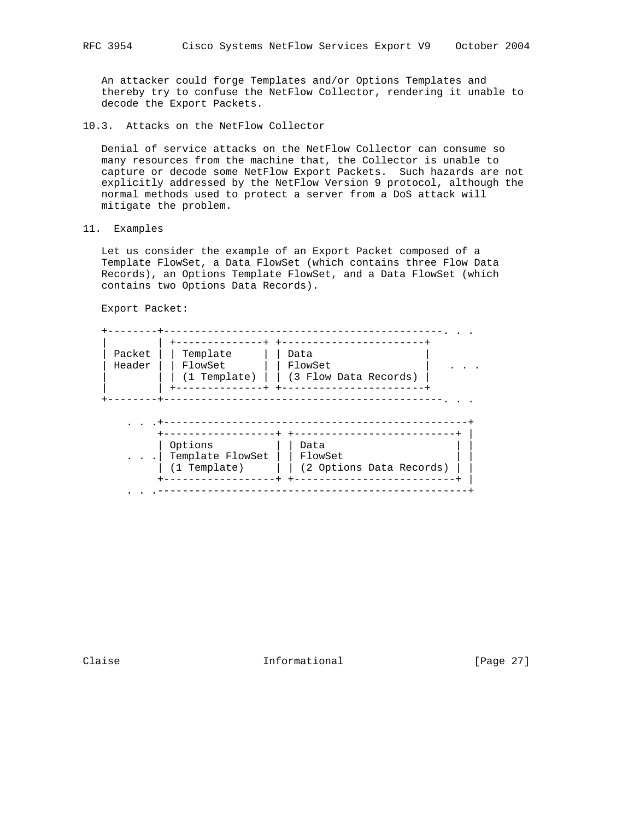An attacker could forge Templates and/or Options Templates and thereby try to confuse the NetFlow Collector, rendering it unable to decode the Export Packets.

10.3. Attacks on the NetFlow Collector

 Denial of service attacks on the NetFlow Collector can consume so many resources from the machine that, the Collector is unable to capture or decode some NetFlow Export Packets. Such hazards are not explicitly addressed by the NetFlow Version 9 protocol, although the normal methods used to protect a server from a DoS attack will mitigate the problem.

11. Examples

 Let us consider the example of an Export Packet composed of a Template FlowSet, a Data FlowSet (which contains three Flow Data Records), an Options Template FlowSet, and a Data FlowSet (which contains two Options Data Records).

Export Packet:

| Packet<br>Header | Template<br>FlowSet<br>(1 Template) | Data<br>FlowSet<br>(3 Flow Data Records) |
|------------------|-------------------------------------|------------------------------------------|
|                  |                                     |                                          |
|                  |                                     |                                          |
|                  |                                     |                                          |

+------------------+ +--------------------------+ |

. . .--------------------------------------------------+

Claise **Informational Informational** [Page 27]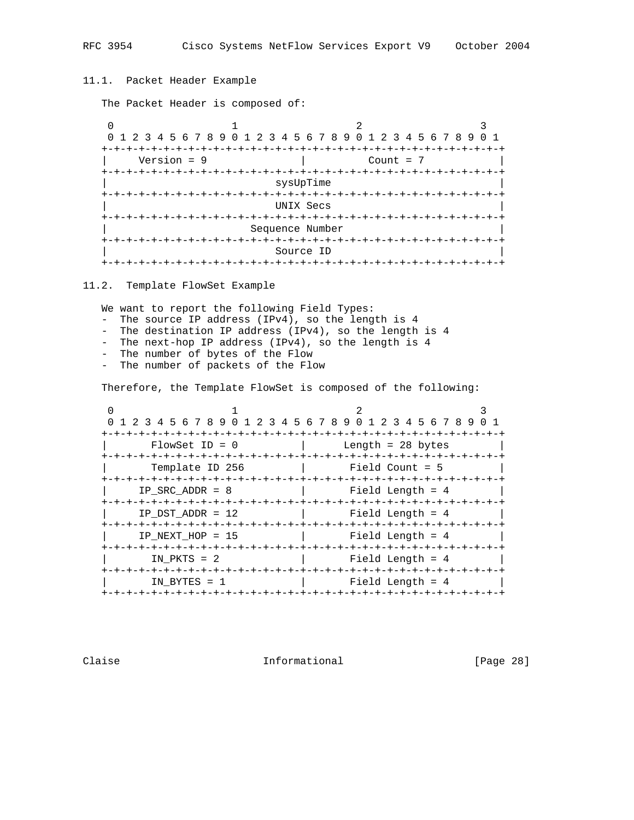11.1. Packet Header Example

The Packet Header is composed of:

0  $1$  2 3 0 1 2 3 4 5 6 7 8 9 0 1 2 3 4 5 6 7 8 9 0 1 2 3 4 5 6 7 8 9 0 1 +-+-+-+-+-+-+-+-+-+-+-+-+-+-+-+-+-+-+-+-+-+-+-+-+-+-+-+-+-+-+-+-+  $Version = 9$  +-+-+-+-+-+-+-+-+-+-+-+-+-+-+-+-+-+-+-+-+-+-+-+-+-+-+-+-+-+-+-+-+ sysUpTime +-+-+-+-+-+-+-+-+-+-+-+-+-+-+-+-+-+-+-+-+-+-+-+-+-+-+-+-+-+-+-+-+ | UNIX Secs | +-+-+-+-+-+-+-+-+-+-+-+-+-+-+-+-+-+-+-+-+-+-+-+-+-+-+-+-+-+-+-+-+ Sequence Number +-+-+-+-+-+-+-+-+-+-+-+-+-+-+-+-+-+-+-+-+-+-+-+-+-+-+-+-+-+-+-+-+ Source ID +-+-+-+-+-+-+-+-+-+-+-+-+-+-+-+-+-+-+-+-+-+-+-+-+-+-+-+-+-+-+-+-+

11.2. Template FlowSet Example

We want to report the following Field Types:

- The source IP address (IPv4), so the length is 4
- The destination IP address (IPv4), so the length is 4
- The next-hop IP address (IPv4), so the length is 4
- The number of bytes of the Flow
- The number of packets of the Flow

Therefore, the Template FlowSet is composed of the following:

|                    |                                                                                                                | 0 1 2 3 4 5 6 7 8 9 0 1 2 3 4 5 6 7 8 9 0 1 2 3 4 5 6 7 8 9 0 1 |
|--------------------|----------------------------------------------------------------------------------------------------------------|-----------------------------------------------------------------|
| $FlowSet$ ID = 0   |                                                                                                                |                                                                 |
| Template ID 256    | and the state of the state of the state of the state of the state of the state of the state of the state of th |                                                                 |
| IP SRC ADDR = $8$  | Field Length = 4                                                                                               |                                                                 |
| IP DST ADDR = $12$ | Field Length = 4                                                                                               |                                                                 |
| IP NEXT HOP = $15$ | Field Length = 4                                                                                               |                                                                 |
| IN PKTS $= 2$      | Field Length = 4                                                                                               |                                                                 |
| IN BYTES $= 1$     |                                                                                                                | Field Length = 4                                                |
|                    |                                                                                                                |                                                                 |

Claise **Informational** [Page 28]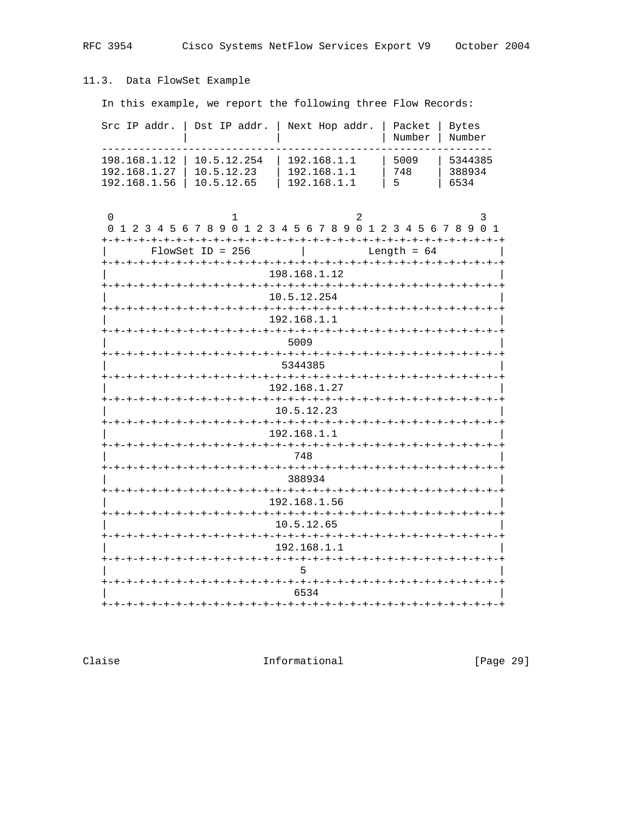# 11.3. Data FlowSet Example

In this example, we report the following three Flow Records:

| Src IP addr.                                 | Dst IP addr.                               | Next Hop addr.                                                       | Packet<br>Number | Bytes<br>Number           |  |  |
|----------------------------------------------|--------------------------------------------|----------------------------------------------------------------------|------------------|---------------------------|--|--|
| 198.168.1.12<br>192.168.1.27<br>192.168.1.56 | 10.5.12.254<br>10.5.12.23<br>10.5.12.65    | 192.168.1.1<br>192.168.1.1<br>192.168.1.1                            | 5009<br>748<br>5 | 5344385<br>388934<br>6534 |  |  |
| 0                                            |                                            | 2<br>0 1 2 3 4 5 6 7 8 9 0 1 2 3 4 5 6 7 8 9 0 1 2 3 4 5 6 7 8 9 0 1 |                  | 3                         |  |  |
|                                              | $FlowSet$ ID = 256                         |                                                                      | Length = $64$    |                           |  |  |
|                                              |                                            | 198.168.1.12                                                         |                  |                           |  |  |
|                                              |                                            | -+-+-+-+-+-+-+-+-+-+-+-+-+-+-+-+-+-+-+-<br>10.5.12.254               |                  |                           |  |  |
|                                              |                                            | -+-+-+-+-+-+-+-+-+-+-+-+-+-+-+-+-+-+<br>192.168.1.1                  |                  |                           |  |  |
|                                              |                                            | -+-+-+-+-+-+-+-+-+-+-+-+<br>5009                                     |                  |                           |  |  |
|                                              |                                            | 5344385                                                              |                  |                           |  |  |
|                                              |                                            | -+-+-+-+-+-+-+-+-+-+-+-+-+-+-+-+-+-+<br>192.168.1.27                 |                  |                           |  |  |
|                                              |                                            | 10.5.12.23                                                           |                  |                           |  |  |
|                                              |                                            | -+-+-+-+-+-+-+-+-+-+-+-+-+-<br>192.168.1.1                           |                  |                           |  |  |
|                                              |                                            | 748                                                                  |                  |                           |  |  |
|                                              |                                            | +-+-+-+-+-+-+-+-+-+-+-+-+                                            |                  |                           |  |  |
| 388934                                       |                                            |                                                                      |                  |                           |  |  |
|                                              | 192.168.1.56<br>-+-+-+-+-+-+-+-+-+-+-+-+-+ |                                                                      |                  |                           |  |  |
|                                              |                                            | 10.5.12.65                                                           |                  |                           |  |  |
|                                              |                                            | 192.168.1.1<br>-+-+-+-+-+-+-+-+-+-+-+-+-+-+-+                        |                  |                           |  |  |
|                                              |                                            | -+-+-+-+-+-+-+-+-+-+-+                                               |                  |                           |  |  |
|                                              |                                            | 6534                                                                 |                  |                           |  |  |
|                                              |                                            |                                                                      |                  |                           |  |  |

Claise

Informational

[Page 29]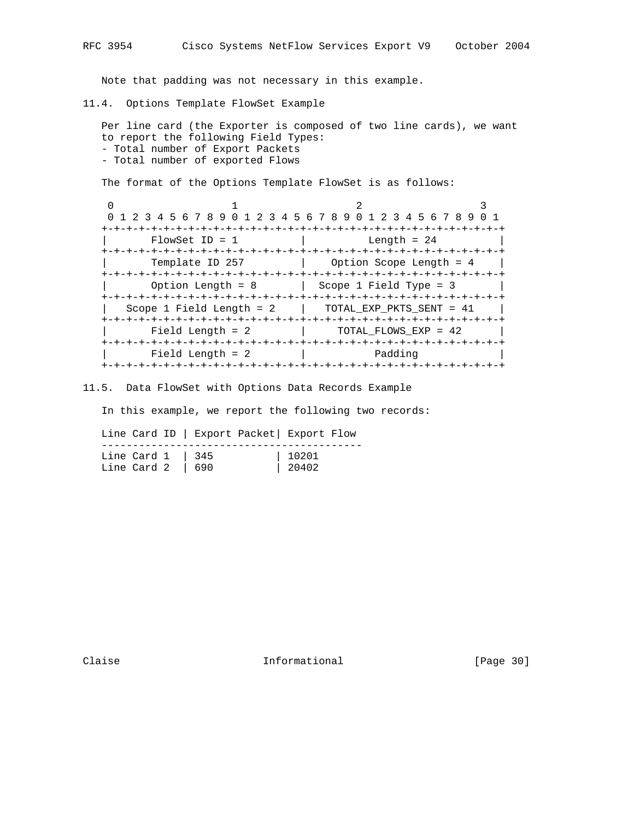Note that padding was not necessary in this example.

11.4. Options Template FlowSet Example

```
 Per line card (the Exporter is composed of two line cards), we want
to report the following Field Types:
- Total number of Export Packets
- Total number of exported Flows
```
The format of the Options Template FlowSet is as follows:

0  $1$  2 3 0 1 2 3 4 5 6 7 8 9 0 1 2 3 4 5 6 7 8 9 0 1 2 3 4 5 6 7 8 9 0 1 +-+-+-+-+-+-+-+-+-+-+-+-+-+-+-+-+-+-+-+-+-+-+-+-+-+-+-+-+-+-+-+-+  $FlowSet$  ID = 1  $\qquad$  Length = 24 +-+-+-+-+-+-+-+-+-+-+-+-+-+-+-+-+-+-+-+-+-+-+-+-+-+-+-+-+-+-+-+-+ Template ID 257 | Option Scope Length = 4 +-+-+-+-+-+-+-+-+-+-+-+-+-+-+-+-+-+-+-+-+-+-+-+-+-+-+-+-+-+-+-+-+ | Option Length = 8 | Scope 1 Field Type = 3 | +-+-+-+-+-+-+-+-+-+-+-+-+-+-+-+-+-+-+-+-+-+-+-+-+-+-+-+-+-+-+-+-+ | Scope 1 Field Length = 2 | TOTAL\_EXP\_PKTS\_SENT = 41 | +-+-+-+-+-+-+-+-+-+-+-+-+-+-+-+-+-+-+-+-+-+-+-+-+-+-+-+-+-+-+-+-+  $Field Length = 2$  | TOTAL\_FLOWS\_EXP = 42 | +-+-+-+-+-+-+-+-+-+-+-+-+-+-+-+-+-+-+-+-+-+-+-+-+-+-+-+-+-+-+-+-+ | Field Length = 2 | Padding +-+-+-+-+-+-+-+-+-+-+-+-+-+-+-+-+-+-+-+-+-+-+-+-+-+-+-+-+-+-+-+-+

11.5. Data FlowSet with Options Data Records Example

In this example, we report the following two records:

 Line Card ID | Export Packet| Export Flow ------------------------------------------ Line Card 1 | 345 | 10201 Line Card 2 | 690 | 20402

Claise **Informational** [Page 30]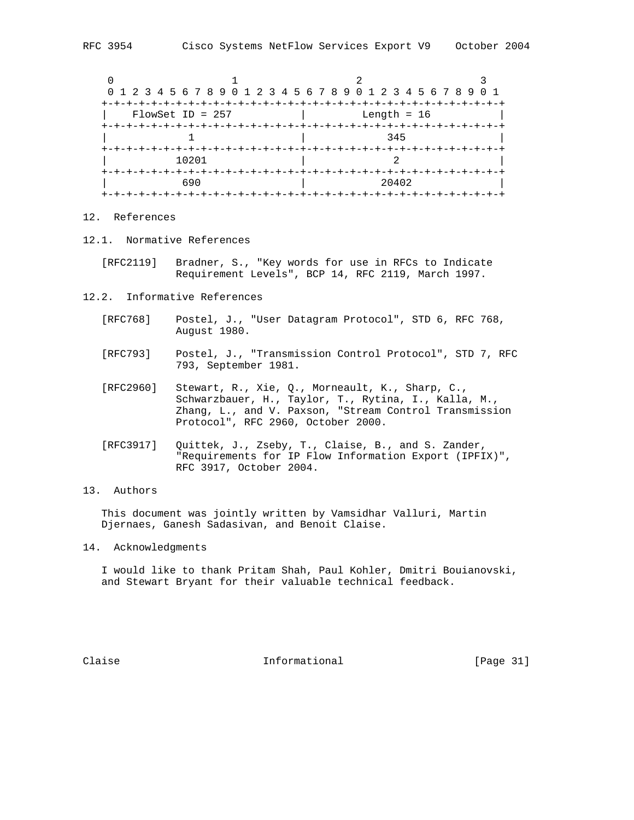|                    | 0 1 2 3 4 5 6 7 8 9 0 1 2 3 4 5 6 7 8 9 0 1 2 3 4 5 6 7 8 9 0 1 |  |
|--------------------|-----------------------------------------------------------------|--|
| $FlowSet$ ID = 257 | Length = $16$                                                   |  |
|                    | 345<br>-+-+-+-+-+-+-+-+                                         |  |
| 10201              |                                                                 |  |
| 690                | 20402                                                           |  |
|                    |                                                                 |  |

# 12. References

- 12.1. Normative References
	- [RFC2119] Bradner, S., "Key words for use in RFCs to Indicate Requirement Levels", BCP 14, RFC 2119, March 1997.
- 12.2. Informative References
	- [RFC768] Postel, J., "User Datagram Protocol", STD 6, RFC 768, August 1980.
	- [RFC793] Postel, J., "Transmission Control Protocol", STD 7, RFC 793, September 1981.
- [RFC2960] Stewart, R., Xie, Q., Morneault, K., Sharp, C., Schwarzbauer, H., Taylor, T., Rytina, I., Kalla, M., Zhang, L., and V. Paxson, "Stream Control Transmission Protocol", RFC 2960, October 2000.
	- [RFC3917] Quittek, J., Zseby, T., Claise, B., and S. Zander, "Requirements for IP Flow Information Export (IPFIX)", RFC 3917, October 2004.

# 13. Authors

 This document was jointly written by Vamsidhar Valluri, Martin Djernaes, Ganesh Sadasivan, and Benoit Claise.

14. Acknowledgments

 I would like to thank Pritam Shah, Paul Kohler, Dmitri Bouianovski, and Stewart Bryant for their valuable technical feedback.

Claise **Informational** [Page 31]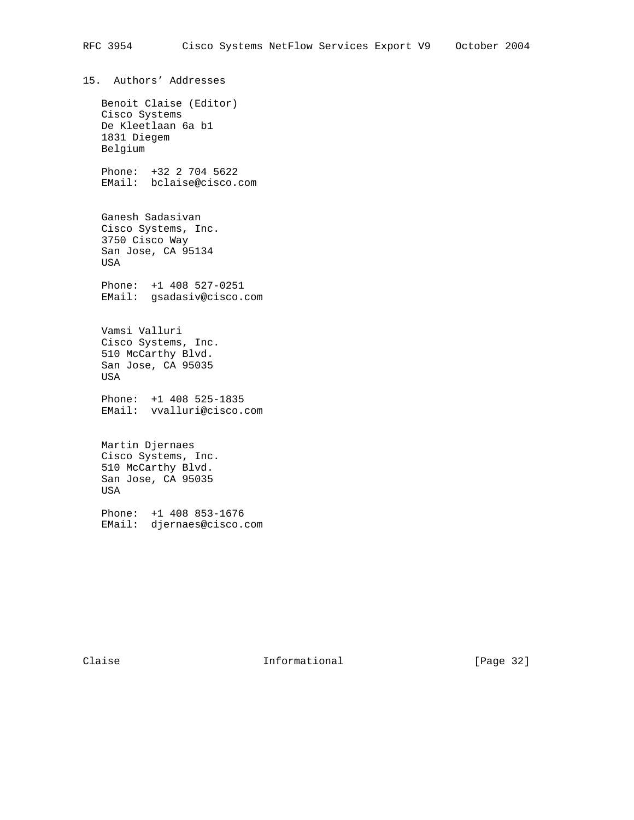15. Authors' Addresses Benoit Claise (Editor) Cisco Systems De Kleetlaan 6a b1 1831 Diegem Belgium Phone: +32 2 704 5622 EMail: bclaise@cisco.com Ganesh Sadasivan Cisco Systems, Inc. 3750 Cisco Way San Jose, CA 95134 USA Phone: +1 408 527-0251 EMail: gsadasiv@cisco.com Vamsi Valluri Cisco Systems, Inc. 510 McCarthy Blvd. San Jose, CA 95035 USA Phone: +1 408 525-1835 EMail: vvalluri@cisco.com Martin Djernaes Cisco Systems, Inc. 510 McCarthy Blvd. San Jose, CA 95035 USA Phone: +1 408 853-1676 EMail: djernaes@cisco.com

Claise **Informational** [Page 32]